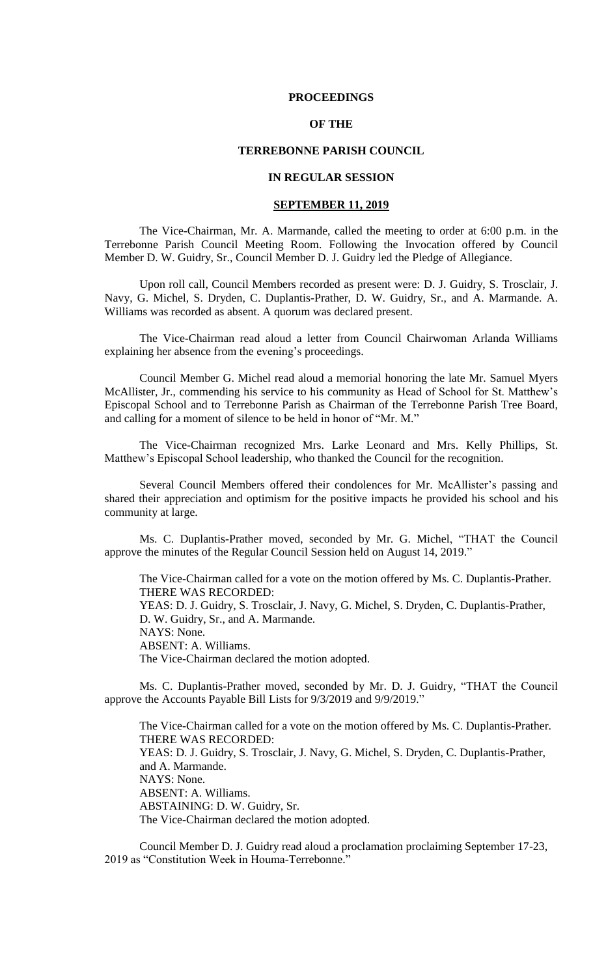### **PROCEEDINGS**

# **OF THE**

# **TERREBONNE PARISH COUNCIL**

### **IN REGULAR SESSION**

#### **SEPTEMBER 11, 2019**

The Vice-Chairman, Mr. A. Marmande, called the meeting to order at 6:00 p.m. in the Terrebonne Parish Council Meeting Room. Following the Invocation offered by Council Member D. W. Guidry, Sr., Council Member D. J. Guidry led the Pledge of Allegiance.

Upon roll call, Council Members recorded as present were: D. J. Guidry, S. Trosclair, J. Navy, G. Michel, S. Dryden, C. Duplantis-Prather, D. W. Guidry, Sr., and A. Marmande. A. Williams was recorded as absent. A quorum was declared present.

The Vice-Chairman read aloud a letter from Council Chairwoman Arlanda Williams explaining her absence from the evening's proceedings.

Council Member G. Michel read aloud a memorial honoring the late Mr. Samuel Myers McAllister, Jr., commending his service to his community as Head of School for St. Matthew's Episcopal School and to Terrebonne Parish as Chairman of the Terrebonne Parish Tree Board, and calling for a moment of silence to be held in honor of "Mr. M."

The Vice-Chairman recognized Mrs. Larke Leonard and Mrs. Kelly Phillips, St. Matthew's Episcopal School leadership, who thanked the Council for the recognition.

Several Council Members offered their condolences for Mr. McAllister's passing and shared their appreciation and optimism for the positive impacts he provided his school and his community at large.

Ms. C. Duplantis-Prather moved, seconded by Mr. G. Michel, "THAT the Council approve the minutes of the Regular Council Session held on August 14, 2019."

The Vice-Chairman called for a vote on the motion offered by Ms. C. Duplantis-Prather. THERE WAS RECORDED: YEAS: D. J. Guidry, S. Trosclair, J. Navy, G. Michel, S. Dryden, C. Duplantis-Prather, D. W. Guidry, Sr., and A. Marmande. NAYS: None. ABSENT: A. Williams. The Vice-Chairman declared the motion adopted.

Ms. C. Duplantis-Prather moved, seconded by Mr. D. J. Guidry, "THAT the Council approve the Accounts Payable Bill Lists for 9/3/2019 and 9/9/2019."

The Vice-Chairman called for a vote on the motion offered by Ms. C. Duplantis-Prather. THERE WAS RECORDED: YEAS: D. J. Guidry, S. Trosclair, J. Navy, G. Michel, S. Dryden, C. Duplantis-Prather, and A. Marmande. NAYS: None. ABSENT: A. Williams. ABSTAINING: D. W. Guidry, Sr. The Vice-Chairman declared the motion adopted.

Council Member D. J. Guidry read aloud a proclamation proclaiming September 17-23, 2019 as "Constitution Week in Houma-Terrebonne."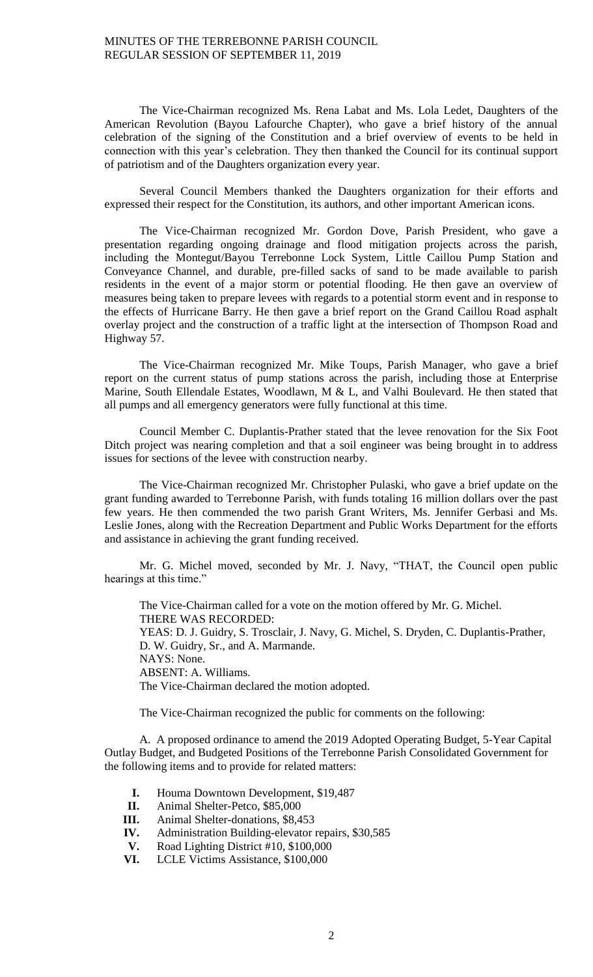The Vice-Chairman recognized Ms. Rena Labat and Ms. Lola Ledet, Daughters of the American Revolution (Bayou Lafourche Chapter), who gave a brief history of the annual celebration of the signing of the Constitution and a brief overview of events to be held in connection with this year's celebration. They then thanked the Council for its continual support of patriotism and of the Daughters organization every year.

Several Council Members thanked the Daughters organization for their efforts and expressed their respect for the Constitution, its authors, and other important American icons.

The Vice-Chairman recognized Mr. Gordon Dove, Parish President, who gave a presentation regarding ongoing drainage and flood mitigation projects across the parish, including the Montegut/Bayou Terrebonne Lock System, Little Caillou Pump Station and Conveyance Channel, and durable, pre-filled sacks of sand to be made available to parish residents in the event of a major storm or potential flooding. He then gave an overview of measures being taken to prepare levees with regards to a potential storm event and in response to the effects of Hurricane Barry. He then gave a brief report on the Grand Caillou Road asphalt overlay project and the construction of a traffic light at the intersection of Thompson Road and Highway 57.

The Vice-Chairman recognized Mr. Mike Toups, Parish Manager, who gave a brief report on the current status of pump stations across the parish, including those at Enterprise Marine, South Ellendale Estates, Woodlawn, M & L, and Valhi Boulevard. He then stated that all pumps and all emergency generators were fully functional at this time.

Council Member C. Duplantis-Prather stated that the levee renovation for the Six Foot Ditch project was nearing completion and that a soil engineer was being brought in to address issues for sections of the levee with construction nearby.

The Vice-Chairman recognized Mr. Christopher Pulaski, who gave a brief update on the grant funding awarded to Terrebonne Parish, with funds totaling 16 million dollars over the past few years. He then commended the two parish Grant Writers, Ms. Jennifer Gerbasi and Ms. Leslie Jones, along with the Recreation Department and Public Works Department for the efforts and assistance in achieving the grant funding received.

Mr. G. Michel moved, seconded by Mr. J. Navy, "THAT, the Council open public hearings at this time."

The Vice-Chairman called for a vote on the motion offered by Mr. G. Michel. THERE WAS RECORDED: YEAS: D. J. Guidry, S. Trosclair, J. Navy, G. Michel, S. Dryden, C. Duplantis-Prather, D. W. Guidry, Sr., and A. Marmande. NAYS: None. ABSENT: A. Williams. The Vice-Chairman declared the motion adopted.

The Vice-Chairman recognized the public for comments on the following:

A. A proposed ordinance to amend the 2019 Adopted Operating Budget, 5-Year Capital Outlay Budget, and Budgeted Positions of the Terrebonne Parish Consolidated Government for the following items and to provide for related matters:

- **I.** Houma Downtown Development, \$19,487
- **II.** Animal Shelter-Petco, \$85,000
- **III.** Animal Shelter-donations, \$8,453
- **IV.** Administration Building-elevator repairs, \$30,585
- **V.** Road Lighting District #10, \$100,000
- **VI.** LCLE Victims Assistance, \$100,000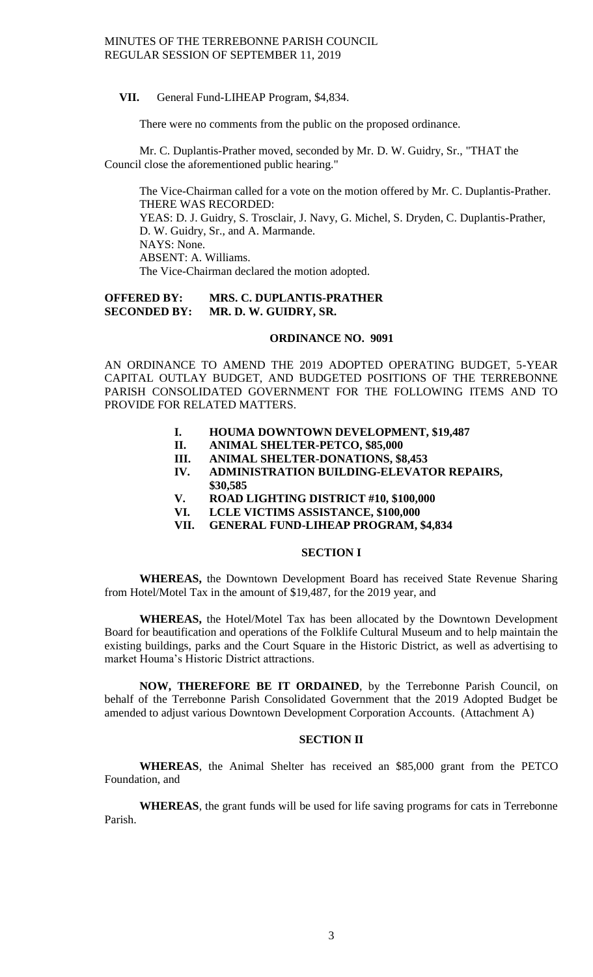**VII.** General Fund-LIHEAP Program, \$4,834.

There were no comments from the public on the proposed ordinance.

Mr. C. Duplantis-Prather moved, seconded by Mr. D. W. Guidry, Sr., "THAT the Council close the aforementioned public hearing."

The Vice-Chairman called for a vote on the motion offered by Mr. C. Duplantis-Prather. THERE WAS RECORDED:

YEAS: D. J. Guidry, S. Trosclair, J. Navy, G. Michel, S. Dryden, C. Duplantis-Prather, D. W. Guidry, Sr., and A. Marmande. NAYS: None. ABSENT: A. Williams.

The Vice-Chairman declared the motion adopted.

# **OFFERED BY: MRS. C. DUPLANTIS-PRATHER SECONDED BY: MR. D. W. GUIDRY, SR.**

#### **ORDINANCE NO. 9091**

AN ORDINANCE TO AMEND THE 2019 ADOPTED OPERATING BUDGET, 5-YEAR CAPITAL OUTLAY BUDGET, AND BUDGETED POSITIONS OF THE TERREBONNE PARISH CONSOLIDATED GOVERNMENT FOR THE FOLLOWING ITEMS AND TO PROVIDE FOR RELATED MATTERS.

- **I. HOUMA DOWNTOWN DEVELOPMENT, \$19,487**
- **II. ANIMAL SHELTER-PETCO, \$85,000**
- **III. ANIMAL SHELTER-DONATIONS, \$8,453**
- **IV. ADMINISTRATION BUILDING-ELEVATOR REPAIRS, \$30,585**
- **V. ROAD LIGHTING DISTRICT #10, \$100,000**
- **VI. LCLE VICTIMS ASSISTANCE, \$100,000**
- **VII. GENERAL FUND-LIHEAP PROGRAM, \$4,834**

# **SECTION I**

**WHEREAS,** the Downtown Development Board has received State Revenue Sharing from Hotel/Motel Tax in the amount of \$19,487, for the 2019 year, and

**WHEREAS,** the Hotel/Motel Tax has been allocated by the Downtown Development Board for beautification and operations of the Folklife Cultural Museum and to help maintain the existing buildings, parks and the Court Square in the Historic District, as well as advertising to market Houma's Historic District attractions.

**NOW, THEREFORE BE IT ORDAINED**, by the Terrebonne Parish Council, on behalf of the Terrebonne Parish Consolidated Government that the 2019 Adopted Budget be amended to adjust various Downtown Development Corporation Accounts. (Attachment A)

## **SECTION II**

**WHEREAS**, the Animal Shelter has received an \$85,000 grant from the PETCO Foundation, and

**WHEREAS**, the grant funds will be used for life saving programs for cats in Terrebonne Parish.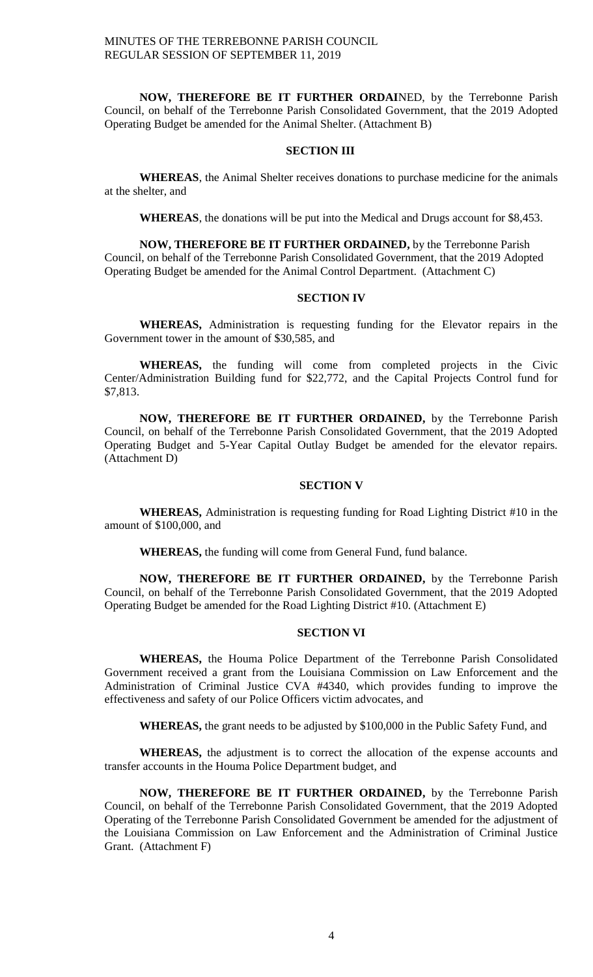**NOW, THEREFORE BE IT FURTHER ORDAI**NED, by the Terrebonne Parish Council, on behalf of the Terrebonne Parish Consolidated Government, that the 2019 Adopted Operating Budget be amended for the Animal Shelter. (Attachment B)

# **SECTION III**

**WHEREAS**, the Animal Shelter receives donations to purchase medicine for the animals at the shelter, and

**WHEREAS**, the donations will be put into the Medical and Drugs account for \$8,453.

**NOW, THEREFORE BE IT FURTHER ORDAINED,** by the Terrebonne Parish Council, on behalf of the Terrebonne Parish Consolidated Government, that the 2019 Adopted Operating Budget be amended for the Animal Control Department. (Attachment C)

#### **SECTION IV**

**WHEREAS,** Administration is requesting funding for the Elevator repairs in the Government tower in the amount of \$30,585, and

**WHEREAS,** the funding will come from completed projects in the Civic Center/Administration Building fund for \$22,772, and the Capital Projects Control fund for \$7,813.

**NOW, THEREFORE BE IT FURTHER ORDAINED,** by the Terrebonne Parish Council, on behalf of the Terrebonne Parish Consolidated Government, that the 2019 Adopted Operating Budget and 5-Year Capital Outlay Budget be amended for the elevator repairs. (Attachment D)

# **SECTION V**

**WHEREAS,** Administration is requesting funding for Road Lighting District #10 in the amount of \$100,000, and

**WHEREAS,** the funding will come from General Fund, fund balance.

**NOW, THEREFORE BE IT FURTHER ORDAINED,** by the Terrebonne Parish Council, on behalf of the Terrebonne Parish Consolidated Government, that the 2019 Adopted Operating Budget be amended for the Road Lighting District #10. (Attachment E)

# **SECTION VI**

**WHEREAS,** the Houma Police Department of the Terrebonne Parish Consolidated Government received a grant from the Louisiana Commission on Law Enforcement and the Administration of Criminal Justice CVA #4340, which provides funding to improve the effectiveness and safety of our Police Officers victim advocates, and

**WHEREAS,** the grant needs to be adjusted by \$100,000 in the Public Safety Fund, and

**WHEREAS,** the adjustment is to correct the allocation of the expense accounts and transfer accounts in the Houma Police Department budget, and

**NOW, THEREFORE BE IT FURTHER ORDAINED,** by the Terrebonne Parish Council, on behalf of the Terrebonne Parish Consolidated Government, that the 2019 Adopted Operating of the Terrebonne Parish Consolidated Government be amended for the adjustment of the Louisiana Commission on Law Enforcement and the Administration of Criminal Justice Grant. (Attachment F)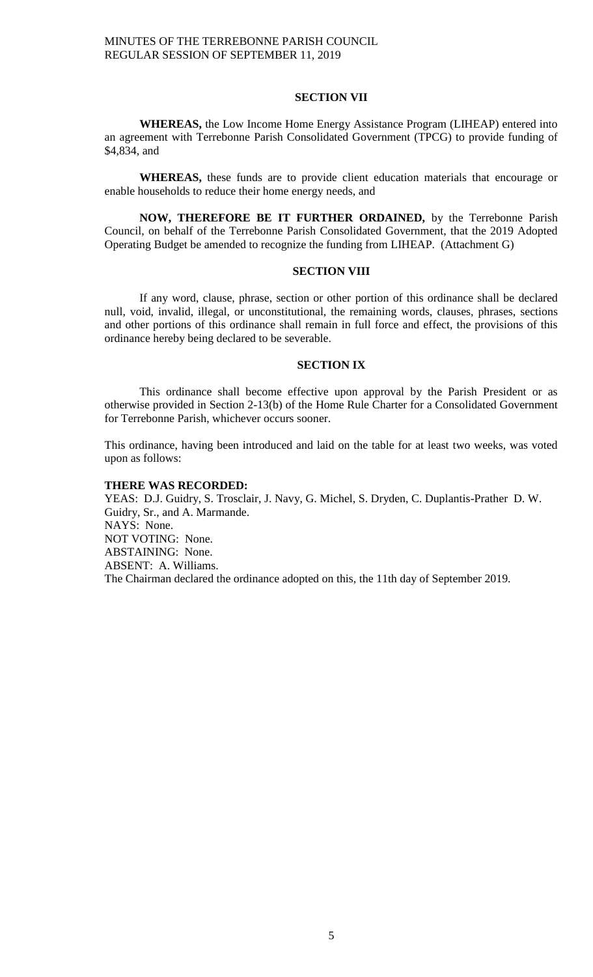### **SECTION VII**

**WHEREAS,** the Low Income Home Energy Assistance Program (LIHEAP) entered into an agreement with Terrebonne Parish Consolidated Government (TPCG) to provide funding of \$4,834, and

**WHEREAS,** these funds are to provide client education materials that encourage or enable households to reduce their home energy needs, and

**NOW, THEREFORE BE IT FURTHER ORDAINED,** by the Terrebonne Parish Council, on behalf of the Terrebonne Parish Consolidated Government, that the 2019 Adopted Operating Budget be amended to recognize the funding from LIHEAP. (Attachment G)

### **SECTION VIII**

If any word, clause, phrase, section or other portion of this ordinance shall be declared null, void, invalid, illegal, or unconstitutional, the remaining words, clauses, phrases, sections and other portions of this ordinance shall remain in full force and effect, the provisions of this ordinance hereby being declared to be severable.

### **SECTION IX**

This ordinance shall become effective upon approval by the Parish President or as otherwise provided in Section 2-13(b) of the Home Rule Charter for a Consolidated Government for Terrebonne Parish, whichever occurs sooner.

This ordinance, having been introduced and laid on the table for at least two weeks, was voted upon as follows:

#### **THERE WAS RECORDED:**

YEAS: D.J. Guidry, S. Trosclair, J. Navy, G. Michel, S. Dryden, C. Duplantis-Prather D. W. Guidry, Sr., and A. Marmande. NAYS: None. NOT VOTING: None. ABSTAINING: None. ABSENT: A. Williams. The Chairman declared the ordinance adopted on this, the 11th day of September 2019.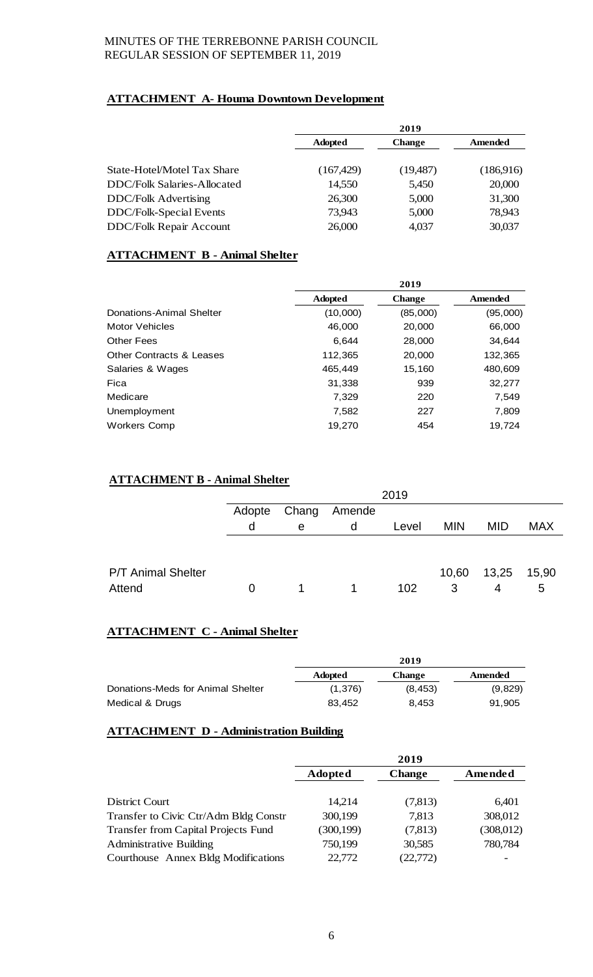# **ATTACHMENT A- Houma Downtown Development**

| 2019           |               |           |
|----------------|---------------|-----------|
| <b>Adopted</b> | <b>Change</b> | Amended   |
| (167, 429)     | (19,487)      | (186,916) |
| 14,550         | 5,450         | 20,000    |
| 26,300         | 5,000         | 31,300    |
| 73,943         | 5,000         | 78,943    |
| 26,000         | 4,037         | 30,037    |
|                |               |           |

# **ATTACHMENT B - Animal Shelter**

|                                     |                | 2019          |          |
|-------------------------------------|----------------|---------------|----------|
|                                     | <b>Adopted</b> | <b>Change</b> | Amended  |
| Donations-Animal Shelter            | (10,000)       | (85,000)      | (95,000) |
| Motor Vehicles                      | 46,000         | 20,000        | 66,000   |
| Other Fees                          | 6.644          | 28,000        | 34.644   |
| <b>Other Contracts &amp; Leases</b> | 112,365        | 20,000        | 132,365  |
| Salaries & Wages                    | 465,449        | 15,160        | 480,609  |
| Fica                                | 31,338         | 939           | 32,277   |
| Medicare                            | 7,329          | 220           | 7,549    |
| Unemployment                        | 7,582          | 227           | 7,809    |
| Workers Comp                        | 19,270         | 454           | 19,724   |

# **ATTACHMENT B - Animal Shelter**

|                           |        |       |        | 2019  |            |             |            |
|---------------------------|--------|-------|--------|-------|------------|-------------|------------|
|                           | Adopte | Chang | Amende |       |            |             |            |
|                           | d      | e     | d      | Level | <b>MIN</b> | <b>MID</b>  | <b>MAX</b> |
|                           |        |       |        |       |            |             |            |
| <b>P/T Animal Shelter</b> |        |       |        |       |            | 10,60 13,25 | 15,90      |
| Attend                    |        |       |        | 102   | 3          | 4           | 5          |

# **ATTACHMENT C - Animal Shelter**

|                                   | 2019           |               |         |
|-----------------------------------|----------------|---------------|---------|
|                                   | <b>Adopted</b> | <b>Change</b> | Amended |
| Donations-Meds for Animal Shelter | (1,376)        | (8, 453)      | (9,829) |
| Medical & Drugs                   | 83.452         | 8.453         | 91,905  |

# **ATTACHMENT D - Administration Building**

|                                            | 2019           |               |           |
|--------------------------------------------|----------------|---------------|-----------|
|                                            | <b>Adopted</b> | <b>Change</b> | Amended   |
|                                            |                |               |           |
| District Court                             | 14,214         | (7,813)       | 6,401     |
| Transfer to Civic Ctr/Adm Bldg Constr      | 300,199        | 7,813         | 308,012   |
| <b>Transfer from Capital Projects Fund</b> | (300, 199)     | (7,813)       | (308,012) |
| <b>Administrative Building</b>             | 750,199        | 30,585        | 780,784   |
| Courthouse Annex Bldg Modifications        | 22,772         | (22, 772)     |           |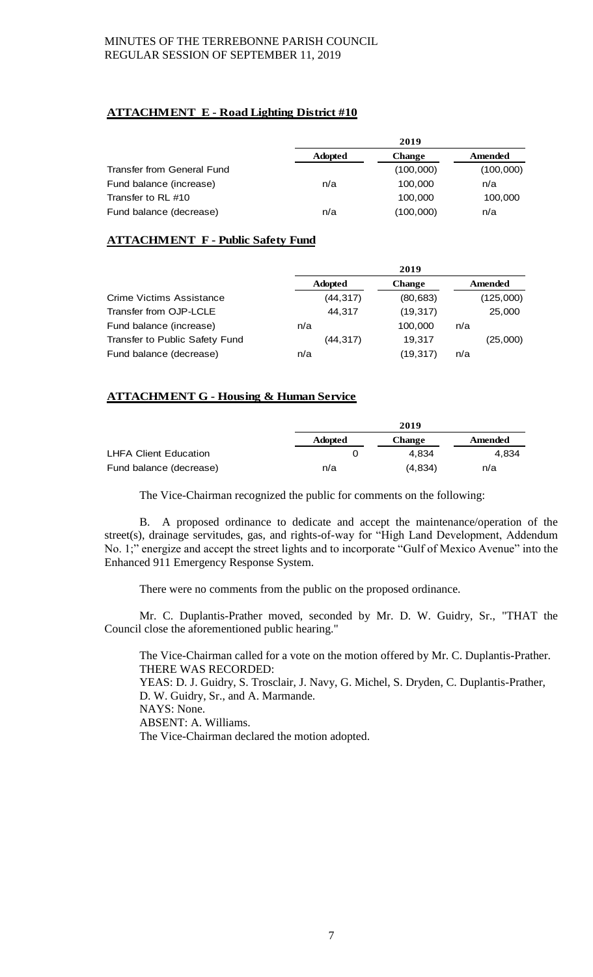# **ATTACHMENT E - Road Lighting District #10**

|                            | 2019           |               |           |
|----------------------------|----------------|---------------|-----------|
|                            | <b>Adopted</b> | <b>Change</b> | Amended   |
| Transfer from General Fund |                | (100,000)     | (100,000) |
| Fund balance (increase)    | n/a            | 100,000       | n/a       |
| Transfer to RL #10         |                | 100,000       | 100,000   |
| Fund balance (decrease)    | n/a            | (100,000)     | n/a       |

# **ATTACHMENT F - Public Safety Fund**

|                                |                | 2019          |           |
|--------------------------------|----------------|---------------|-----------|
|                                | <b>Adopted</b> | <b>Change</b> | Amended   |
| Crime Victims Assistance       | (44, 317)      | (80, 683)     | (125,000) |
| Transfer from OJP-LCLE         | 44.317         | (19, 317)     | 25,000    |
| Fund balance (increase)        | n/a            | 100,000       | n/a       |
| Transfer to Public Safety Fund | (44, 317)      | 19.317        | (25,000)  |
| Fund balance (decrease)        | n/a            | (19, 317)     | n/a       |

# **ATTACHMENT G - Housing & Human Service**

|                              | 2019           |               |         |
|------------------------------|----------------|---------------|---------|
|                              | <b>Adopted</b> | <b>Change</b> | Amended |
| <b>LHFA Client Education</b> |                | 4.834         | 4.834   |
| Fund balance (decrease)      | n/a            | (4.834)       | n/a     |

The Vice-Chairman recognized the public for comments on the following:

B. A proposed ordinance to dedicate and accept the maintenance/operation of the street(s), drainage servitudes, gas, and rights-of-way for "High Land Development, Addendum No. 1;" energize and accept the street lights and to incorporate "Gulf of Mexico Avenue" into the Enhanced 911 Emergency Response System.

There were no comments from the public on the proposed ordinance.

Mr. C. Duplantis-Prather moved, seconded by Mr. D. W. Guidry, Sr., "THAT the Council close the aforementioned public hearing."

The Vice-Chairman called for a vote on the motion offered by Mr. C. Duplantis-Prather. THERE WAS RECORDED:

YEAS: D. J. Guidry, S. Trosclair, J. Navy, G. Michel, S. Dryden, C. Duplantis-Prather, D. W. Guidry, Sr., and A. Marmande. NAYS: None.

ABSENT: A. Williams.

The Vice-Chairman declared the motion adopted.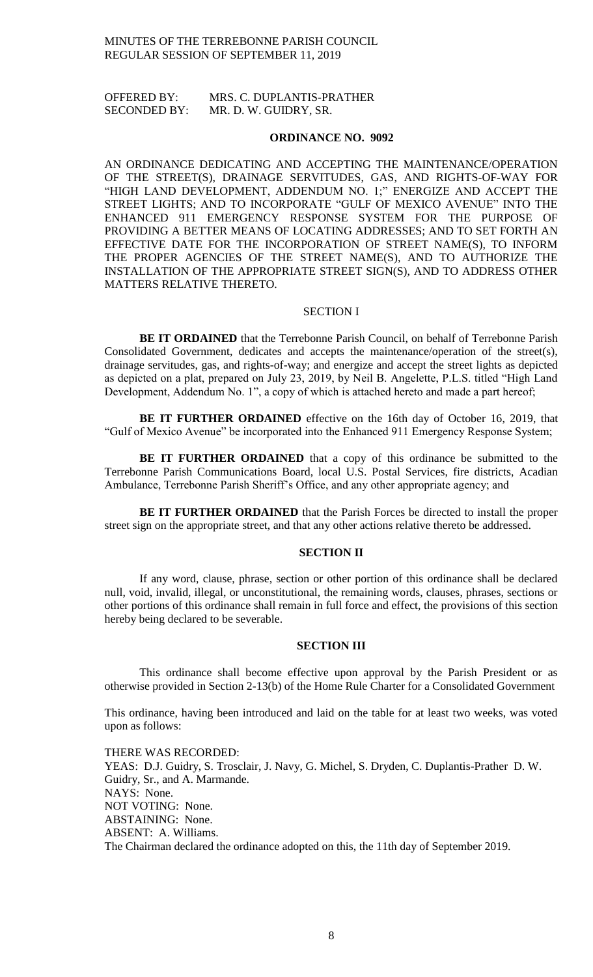OFFERED BY: MRS. C. DUPLANTIS-PRATHER SECONDED BY: MR. D. W. GUIDRY, SR.

#### **ORDINANCE NO. 9092**

AN ORDINANCE DEDICATING AND ACCEPTING THE MAINTENANCE/OPERATION OF THE STREET(S), DRAINAGE SERVITUDES, GAS, AND RIGHTS-OF-WAY FOR "HIGH LAND DEVELOPMENT, ADDENDUM NO. 1;" ENERGIZE AND ACCEPT THE STREET LIGHTS; AND TO INCORPORATE "GULF OF MEXICO AVENUE" INTO THE ENHANCED 911 EMERGENCY RESPONSE SYSTEM FOR THE PURPOSE OF PROVIDING A BETTER MEANS OF LOCATING ADDRESSES; AND TO SET FORTH AN EFFECTIVE DATE FOR THE INCORPORATION OF STREET NAME(S), TO INFORM THE PROPER AGENCIES OF THE STREET NAME(S), AND TO AUTHORIZE THE INSTALLATION OF THE APPROPRIATE STREET SIGN(S), AND TO ADDRESS OTHER MATTERS RELATIVE THERETO.

#### SECTION I

**BE IT ORDAINED** that the Terrebonne Parish Council, on behalf of Terrebonne Parish Consolidated Government, dedicates and accepts the maintenance/operation of the street(s), drainage servitudes, gas, and rights-of-way; and energize and accept the street lights as depicted as depicted on a plat, prepared on July 23, 2019, by Neil B. Angelette, P.L.S. titled "High Land Development, Addendum No. 1", a copy of which is attached hereto and made a part hereof;

**BE IT FURTHER ORDAINED** effective on the 16th day of October 16, 2019, that "Gulf of Mexico Avenue" be incorporated into the Enhanced 911 Emergency Response System;

**BE IT FURTHER ORDAINED** that a copy of this ordinance be submitted to the Terrebonne Parish Communications Board, local U.S. Postal Services, fire districts, Acadian Ambulance, Terrebonne Parish Sheriff's Office, and any other appropriate agency; and

**BE IT FURTHER ORDAINED** that the Parish Forces be directed to install the proper street sign on the appropriate street, and that any other actions relative thereto be addressed.

### **SECTION II**

If any word, clause, phrase, section or other portion of this ordinance shall be declared null, void, invalid, illegal, or unconstitutional, the remaining words, clauses, phrases, sections or other portions of this ordinance shall remain in full force and effect, the provisions of this section hereby being declared to be severable.

### **SECTION III**

This ordinance shall become effective upon approval by the Parish President or as otherwise provided in Section 2-13(b) of the Home Rule Charter for a Consolidated Government

This ordinance, having been introduced and laid on the table for at least two weeks, was voted upon as follows:

THERE WAS RECORDED: YEAS: D.J. Guidry, S. Trosclair, J. Navy, G. Michel, S. Dryden, C. Duplantis-Prather D. W. Guidry, Sr., and A. Marmande. NAYS: None. NOT VOTING: None. ABSTAINING: None. ABSENT: A. Williams. The Chairman declared the ordinance adopted on this, the 11th day of September 2019.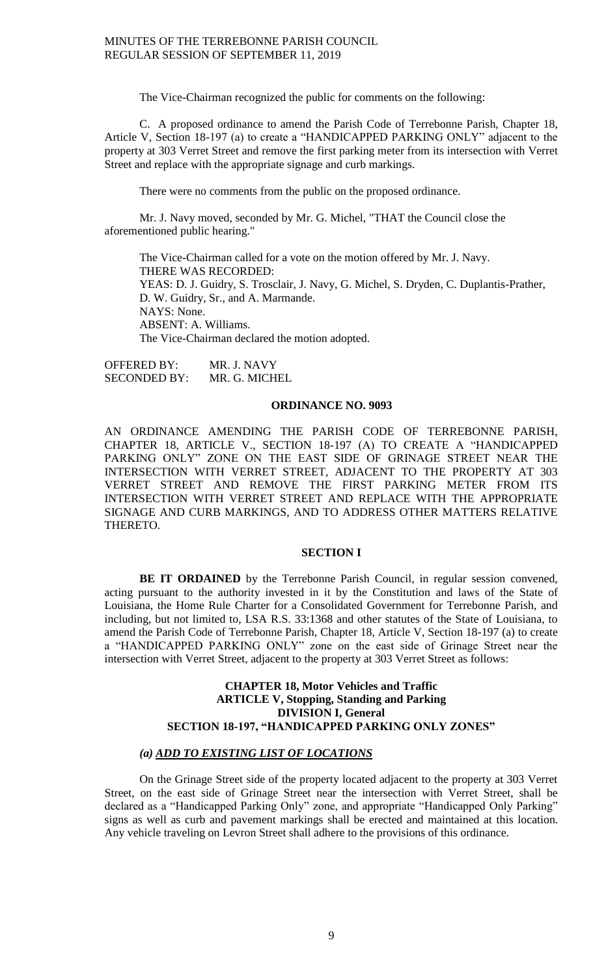The Vice-Chairman recognized the public for comments on the following:

C. A proposed ordinance to amend the Parish Code of Terrebonne Parish, Chapter 18, Article V, Section 18-197 (a) to create a "HANDICAPPED PARKING ONLY" adjacent to the property at 303 Verret Street and remove the first parking meter from its intersection with Verret Street and replace with the appropriate signage and curb markings.

There were no comments from the public on the proposed ordinance.

Mr. J. Navy moved, seconded by Mr. G. Michel, "THAT the Council close the aforementioned public hearing."

The Vice-Chairman called for a vote on the motion offered by Mr. J. Navy. THERE WAS RECORDED: YEAS: D. J. Guidry, S. Trosclair, J. Navy, G. Michel, S. Dryden, C. Duplantis-Prather, D. W. Guidry, Sr., and A. Marmande. NAYS: None. ABSENT: A. Williams. The Vice-Chairman declared the motion adopted.

OFFERED BY: MR. J. NAVY SECONDED BY: MR. G. MICHEL

# **ORDINANCE NO. 9093**

AN ORDINANCE AMENDING THE PARISH CODE OF TERREBONNE PARISH, CHAPTER 18, ARTICLE V., SECTION 18-197 (A) TO CREATE A "HANDICAPPED PARKING ONLY" ZONE ON THE EAST SIDE OF GRINAGE STREET NEAR THE INTERSECTION WITH VERRET STREET, ADJACENT TO THE PROPERTY AT 303 VERRET STREET AND REMOVE THE FIRST PARKING METER FROM ITS INTERSECTION WITH VERRET STREET AND REPLACE WITH THE APPROPRIATE SIGNAGE AND CURB MARKINGS, AND TO ADDRESS OTHER MATTERS RELATIVE THERETO.

# **SECTION I**

BE IT ORDAINED by the Terrebonne Parish Council, in regular session convened, acting pursuant to the authority invested in it by the Constitution and laws of the State of Louisiana, the Home Rule Charter for a Consolidated Government for Terrebonne Parish, and including, but not limited to, LSA R.S. 33:1368 and other statutes of the State of Louisiana, to amend the Parish Code of Terrebonne Parish, Chapter 18, Article V, Section 18-197 (a) to create a "HANDICAPPED PARKING ONLY" zone on the east side of Grinage Street near the intersection with Verret Street, adjacent to the property at 303 Verret Street as follows:

# **CHAPTER 18, Motor Vehicles and Traffic ARTICLE V, Stopping, Standing and Parking DIVISION I, General SECTION 18-197, "HANDICAPPED PARKING ONLY ZONES"**

# *(a) ADD TO EXISTING LIST OF LOCATIONS*

On the Grinage Street side of the property located adjacent to the property at 303 Verret Street, on the east side of Grinage Street near the intersection with Verret Street, shall be declared as a "Handicapped Parking Only" zone, and appropriate "Handicapped Only Parking" signs as well as curb and pavement markings shall be erected and maintained at this location. Any vehicle traveling on Levron Street shall adhere to the provisions of this ordinance.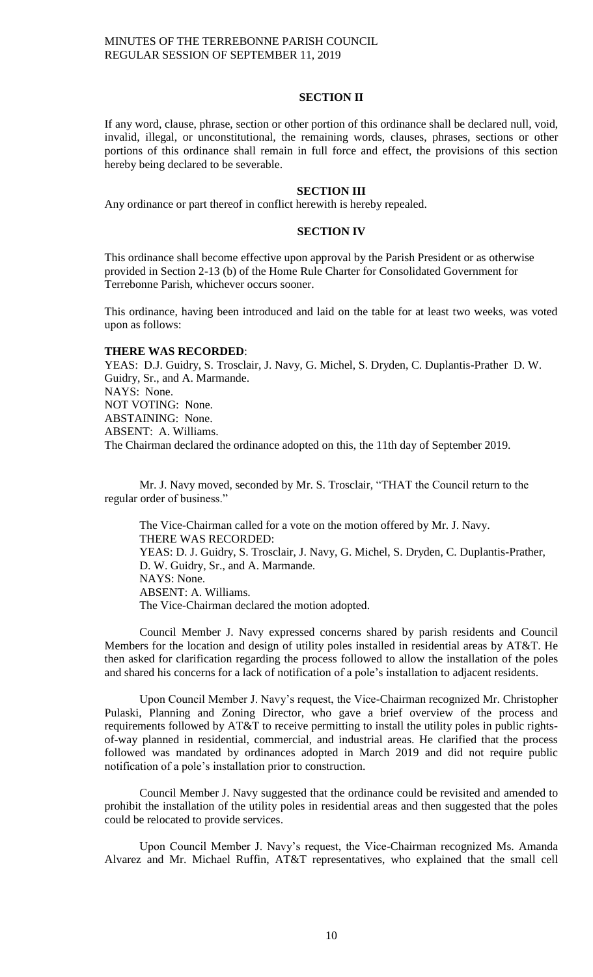# **SECTION II**

If any word, clause, phrase, section or other portion of this ordinance shall be declared null, void, invalid, illegal, or unconstitutional, the remaining words, clauses, phrases, sections or other portions of this ordinance shall remain in full force and effect, the provisions of this section hereby being declared to be severable.

#### **SECTION III**

Any ordinance or part thereof in conflict herewith is hereby repealed.

### **SECTION IV**

This ordinance shall become effective upon approval by the Parish President or as otherwise provided in Section 2-13 (b) of the Home Rule Charter for Consolidated Government for Terrebonne Parish, whichever occurs sooner.

This ordinance, having been introduced and laid on the table for at least two weeks, was voted upon as follows:

#### **THERE WAS RECORDED**:

YEAS: D.J. Guidry, S. Trosclair, J. Navy, G. Michel, S. Dryden, C. Duplantis-Prather D. W. Guidry, Sr., and A. Marmande. NAYS: None. NOT VOTING: None. ABSTAINING: None. ABSENT: A. Williams. The Chairman declared the ordinance adopted on this, the 11th day of September 2019.

Mr. J. Navy moved, seconded by Mr. S. Trosclair, "THAT the Council return to the regular order of business."

The Vice-Chairman called for a vote on the motion offered by Mr. J. Navy. THERE WAS RECORDED: YEAS: D. J. Guidry, S. Trosclair, J. Navy, G. Michel, S. Dryden, C. Duplantis-Prather, D. W. Guidry, Sr., and A. Marmande. NAYS: None. ABSENT: A. Williams. The Vice-Chairman declared the motion adopted.

Council Member J. Navy expressed concerns shared by parish residents and Council Members for the location and design of utility poles installed in residential areas by AT&T. He then asked for clarification regarding the process followed to allow the installation of the poles and shared his concerns for a lack of notification of a pole's installation to adjacent residents.

Upon Council Member J. Navy's request, the Vice-Chairman recognized Mr. Christopher Pulaski, Planning and Zoning Director, who gave a brief overview of the process and requirements followed by AT&T to receive permitting to install the utility poles in public rightsof-way planned in residential, commercial, and industrial areas. He clarified that the process followed was mandated by ordinances adopted in March 2019 and did not require public notification of a pole's installation prior to construction.

Council Member J. Navy suggested that the ordinance could be revisited and amended to prohibit the installation of the utility poles in residential areas and then suggested that the poles could be relocated to provide services.

Upon Council Member J. Navy's request, the Vice-Chairman recognized Ms. Amanda Alvarez and Mr. Michael Ruffin, AT&T representatives, who explained that the small cell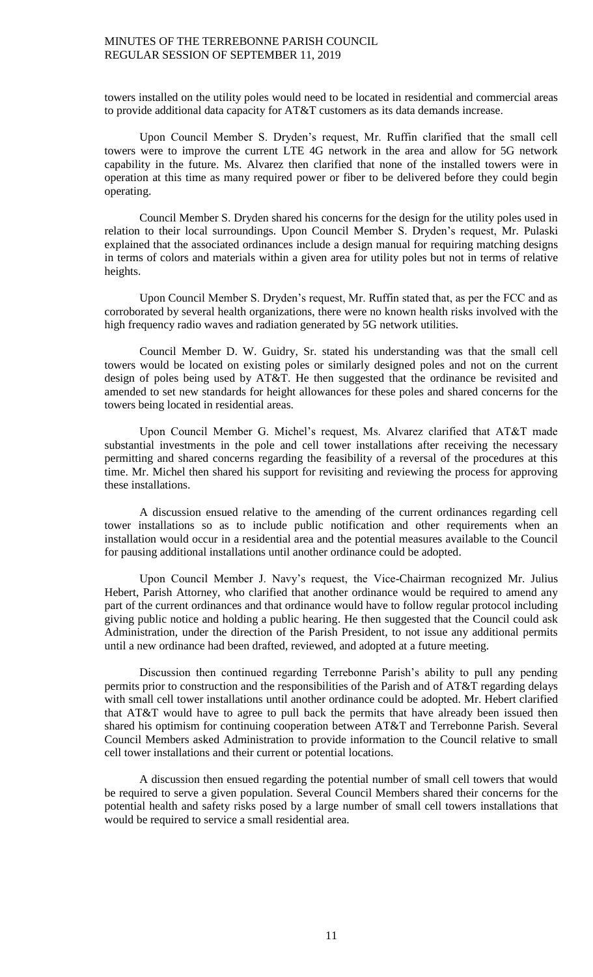towers installed on the utility poles would need to be located in residential and commercial areas to provide additional data capacity for AT&T customers as its data demands increase.

Upon Council Member S. Dryden's request, Mr. Ruffin clarified that the small cell towers were to improve the current LTE 4G network in the area and allow for 5G network capability in the future. Ms. Alvarez then clarified that none of the installed towers were in operation at this time as many required power or fiber to be delivered before they could begin operating.

Council Member S. Dryden shared his concerns for the design for the utility poles used in relation to their local surroundings. Upon Council Member S. Dryden's request, Mr. Pulaski explained that the associated ordinances include a design manual for requiring matching designs in terms of colors and materials within a given area for utility poles but not in terms of relative heights.

Upon Council Member S. Dryden's request, Mr. Ruffin stated that, as per the FCC and as corroborated by several health organizations, there were no known health risks involved with the high frequency radio waves and radiation generated by 5G network utilities.

Council Member D. W. Guidry, Sr. stated his understanding was that the small cell towers would be located on existing poles or similarly designed poles and not on the current design of poles being used by AT&T. He then suggested that the ordinance be revisited and amended to set new standards for height allowances for these poles and shared concerns for the towers being located in residential areas.

Upon Council Member G. Michel's request, Ms. Alvarez clarified that AT&T made substantial investments in the pole and cell tower installations after receiving the necessary permitting and shared concerns regarding the feasibility of a reversal of the procedures at this time. Mr. Michel then shared his support for revisiting and reviewing the process for approving these installations.

A discussion ensued relative to the amending of the current ordinances regarding cell tower installations so as to include public notification and other requirements when an installation would occur in a residential area and the potential measures available to the Council for pausing additional installations until another ordinance could be adopted.

Upon Council Member J. Navy's request, the Vice-Chairman recognized Mr. Julius Hebert, Parish Attorney, who clarified that another ordinance would be required to amend any part of the current ordinances and that ordinance would have to follow regular protocol including giving public notice and holding a public hearing. He then suggested that the Council could ask Administration, under the direction of the Parish President, to not issue any additional permits until a new ordinance had been drafted, reviewed, and adopted at a future meeting.

Discussion then continued regarding Terrebonne Parish's ability to pull any pending permits prior to construction and the responsibilities of the Parish and of AT&T regarding delays with small cell tower installations until another ordinance could be adopted. Mr. Hebert clarified that AT&T would have to agree to pull back the permits that have already been issued then shared his optimism for continuing cooperation between AT&T and Terrebonne Parish. Several Council Members asked Administration to provide information to the Council relative to small cell tower installations and their current or potential locations.

A discussion then ensued regarding the potential number of small cell towers that would be required to serve a given population. Several Council Members shared their concerns for the potential health and safety risks posed by a large number of small cell towers installations that would be required to service a small residential area.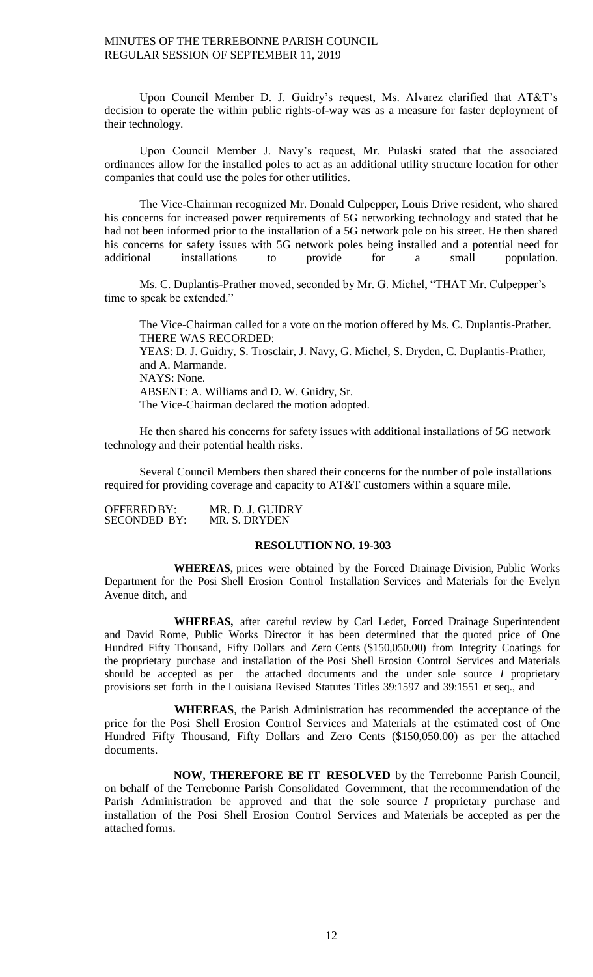Upon Council Member D. J. Guidry's request, Ms. Alvarez clarified that AT&T's decision to operate the within public rights-of-way was as a measure for faster deployment of their technology.

Upon Council Member J. Navy's request, Mr. Pulaski stated that the associated ordinances allow for the installed poles to act as an additional utility structure location for other companies that could use the poles for other utilities.

The Vice-Chairman recognized Mr. Donald Culpepper, Louis Drive resident, who shared his concerns for increased power requirements of 5G networking technology and stated that he had not been informed prior to the installation of a 5G network pole on his street. He then shared his concerns for safety issues with 5G network poles being installed and a potential need for additional installations to provide for a small population.

Ms. C. Duplantis-Prather moved, seconded by Mr. G. Michel, "THAT Mr. Culpepper's time to speak be extended."

The Vice-Chairman called for a vote on the motion offered by Ms. C. Duplantis-Prather. THERE WAS RECORDED: YEAS: D. J. Guidry, S. Trosclair, J. Navy, G. Michel, S. Dryden, C. Duplantis-Prather, and A. Marmande. NAYS: None. ABSENT: A. Williams and D. W. Guidry, Sr. The Vice-Chairman declared the motion adopted.

He then shared his concerns for safety issues with additional installations of 5G network technology and their potential health risks.

Several Council Members then shared their concerns for the number of pole installations required for providing coverage and capacity to AT&T customers within a square mile.

OFFEREDBY: MR. D. J. GUIDRY<br>SECONDED BY: MR. S. DRYDEN SECONDED BY:

# **RESOLUTION NO. 19-303**

**WHEREAS,** prices were obtained by the Forced Drainage Division, Public Works Department for the Posi Shell Erosion Control Installation Services and Materials for the Evelyn Avenue ditch, and

**WHEREAS,** after careful review by Carl Ledet, Forced Drainage Superintendent and David Rome, Public Works Director it has been determined that the quoted price of One Hundred Fifty Thousand, Fifty Dollars and Zero Cents (\$150,050.00) from Integrity Coatings for the proprietary purchase and installation of the Posi Shell Erosion Control Services and Materials should be accepted as per the attached documents and the under sole source *I* proprietary provisions set forth in the Louisiana Revised Statutes Titles 39:1597 and 39:1551 et seq., and

**WHEREAS**, the Parish Administration has recommended the acceptance of the price for the Posi Shell Erosion Control Services and Materials at the estimated cost of One Hundred Fifty Thousand, Fifty Dollars and Zero Cents (\$150,050.00) as per the attached documents.

**NOW, THEREFORE BE IT RESOLVED** by the Terrebonne Parish Council, on behalf of the Terrebonne Parish Consolidated Government, that the recommendation of the Parish Administration be approved and that the sole source *I* proprietary purchase and installation of the Posi Shell Erosion Control Services and Materials be accepted as per the attached forms.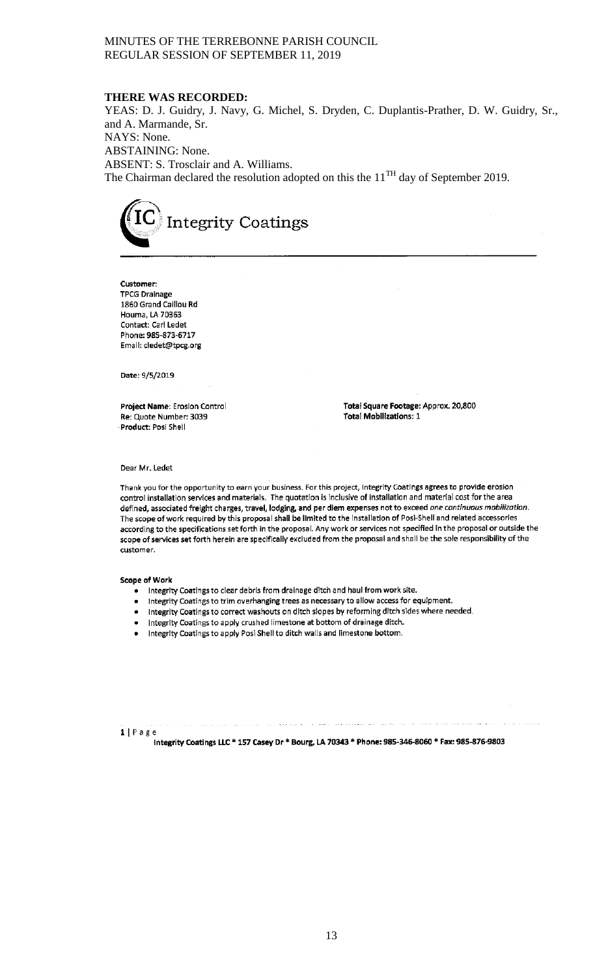#### **THERE WAS RECORDED:**

YEAS: D. J. Guidry, J. Navy, G. Michel, S. Dryden, C. Duplantis-Prather, D. W. Guidry, Sr., and A. Marmande, Sr. NAYS: None. ABSTAINING: None. ABSENT: S. Trosclair and A. Williams. The Chairman declared the resolution adopted on this the  $11<sup>TH</sup>$  day of September 2019.



Customer: **TPCG Drainage** 1860 Grand Caillou Rd Houma, LA 70363 Contact: Carl Ledet Phone: 985-873-6717 Email: cledet@tpcg.org

Date: 9/5/2019

Project Name: Erosion Control Re: Quote Number: 3039 Product: Posi Shell

Total Square Footage: Approx. 20,800 **Total Mobilizations: 1** 

Dear Mr. Ledet

Thank you for the opportunity to earn your business. For this project, Integrity Coatings agrees to provide erosion control installation services and materials. The quotation is inclusive of installation and material cost for the area defined, associated freight charges, travel, lodging, and per diem expenses not to exceed one continuous mobilization. The scope of work required by this proposal shall be limited to the installation of Posi-Shell and related accessories according to the specifications set forth in the proposal. Any work or services not specified in the proposal or outside the scope of services set forth herein are specifically excluded from the proposal and shall be the sole responsibility of the customer.

#### Scope of Work

- Integrity Coatings to clear debris from drainage ditch and haul from work site.
- Integrity Coatings to trim overhanging trees as necessary to allow access for equipment.
- Integrity Coatings to correct washouts on ditch slopes by reforming ditch sides where needed.
- Integrity Coatings to apply crushed limestone at bottom of drainage ditch.
- . Integrity Coatings to apply Posi Shell to ditch walls and limestone bottom.

1 | Page

Integrity Coatings LLC \* 157 Casey Dr \* Bourg, LA 70343 \* Phone: 985-346-8060 \* Fax: 985-876-9803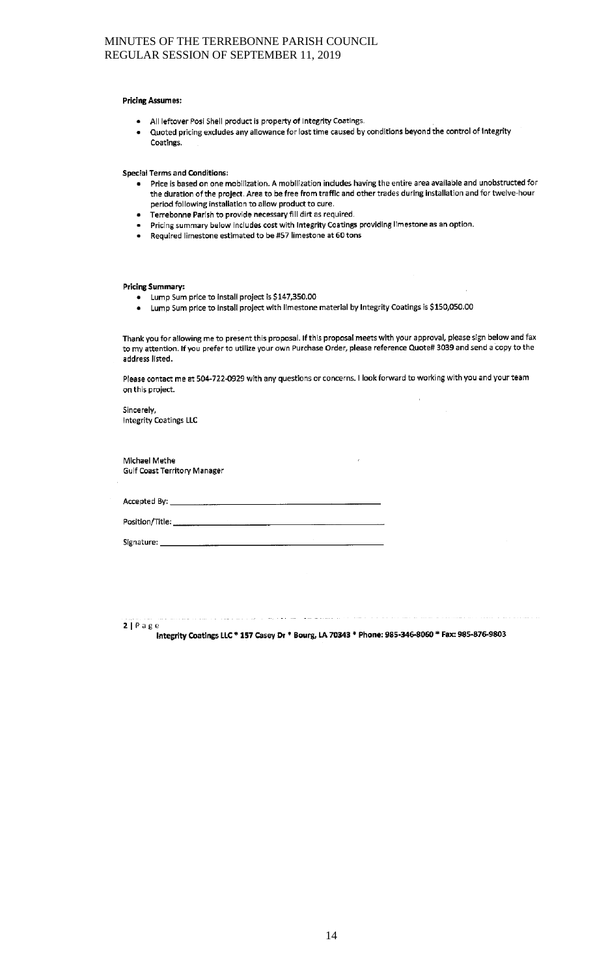#### **Pricing Assumes:**

- All leftover Posi Shell product is property of Integrity Coatings.
- Quoted pricing excludes any allowance for lost time caused by conditions beyond the control of Integrity  $\bullet$ Coatings.

#### **Special Terms and Conditions:**

- . Price is based on one mobilization. A mobilization includes having the entire area available and unobstructed for the duration of the project. Area to be free from traffic and other trades during installation and for twelve-hour period following installation to allow product to cure.
- Terrebonne Parish to provide necessary fill dirt as required.
- Pricing summary below includes cost with Integrity Coatings providing limestone as an option.
- Required limestone estimated to be #57 limestone at 60 tons

#### **Pricing Summary:**

- Lump Sum price to install project is \$147,350.00
- . Lump Sum price to install project with limestone material by Integrity Coatings is \$150,050.00

Thank you for allowing me to present this proposal. If this proposal meets with your approval, please sign below and fax to my attention. If you prefer to utilize your own Purchase Order, please reference Quote# 3039 and send a copy to the address listed.

Please contact me at 504-722-0929 with any questions or concerns. I look forward to working with you and your team on this project.

Sincerely, Integrity Coatings LLC

Michael Methe **Gulf Coast Territory Manager** 

Accepted By:

Position/Title:

Signature:

 $2 | P \text{age}$ 

Integrity Coatings LLC \* 157 Casey Dr \* Bourg, LA 70343 \* Phone: 985-346-8060 \* Fax: 985-876-9803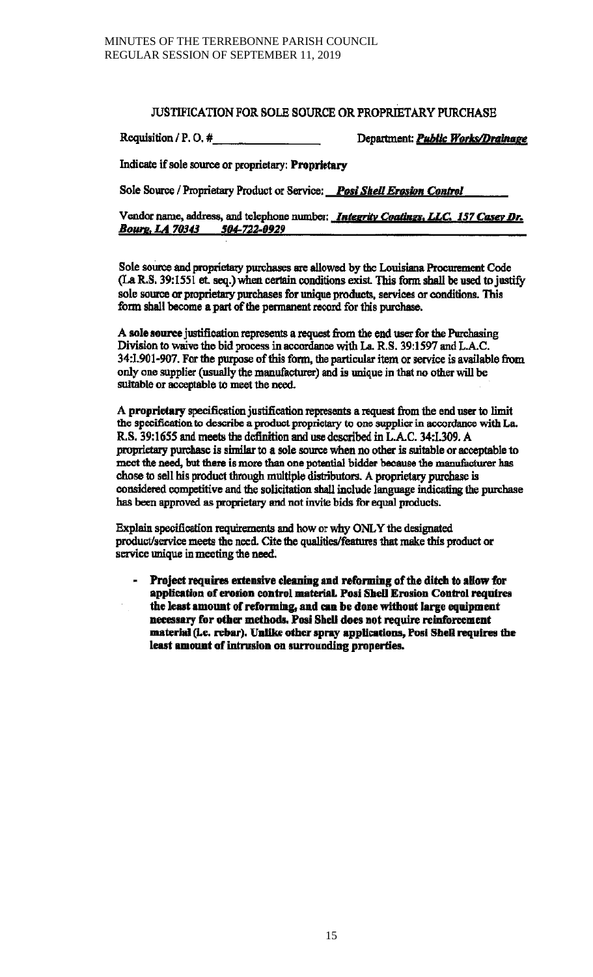# **JUSTIFICATION FOR SOLE SOURCE OR PROPRIETARY PURCHASE**

Requisition / P.O.  $\#$ 

Department: Public Works/Drainage

Indicate if sole source or proprietary: Proprietary

Sole Source / Proprietary Product or Service: Post Shell Erosion Control

Vendor name, address, and telephone number: *Integrity Coatings, LLC. 157 Casey Dr.* Bourg, LA 70343 504-722-0929

Sole source and proprietary purchases are allowed by the Louisiana Procurement Code (La R.S. 39:1551 et. seq.) when certain conditions exist. This form shall be used to justify sole source or proprietary purchases for unique products, services or conditions. This form shall become a part of the permanent record for this purchase.

A sole source justification represents a request from the end user for the Purchasing Division to waive the bid process in accordance with La. R.S. 39:1597 and L.A.C. 34:1.901-907. For the purpose of this form, the particular item or service is available from only one supplier (usually the manufacturer) and is unique in that no other will be suitable or acceptable to meet the need.

A proprietary specification justification represents a request from the end user to limit the specification to describe a product proprietary to one supplier in accordance with La. R.S. 39:1655 and meets the definition and use described in L.A.C. 34:1.309. A proprietary purchase is similar to a sole source when no other is suitable or acceptable to meet the need, but there is more than one potential bidder because the manufacturer has chose to sell his product through multiple distributors. A proprietary purchase is considered competitive and the solicitation shall include language indicating the purchase has been approved as proprietary and not invite bids for equal products.

Explain specification requirements and how or why ONLY the designated product/service meets the need. Cite the qualities/features that make this product or service unique in meeting the need.

Project requires extensive cleaning and reforming of the ditch to allow for application of erosion control material. Posi Shell Erosion Control requires the least amount of reforming, and can be done without large equipment necessary for other methods. Posi Shell does not require reinforcement material (i.e. rebar). Unlike other spray applications, Posi Shell requires the least amount of intrusion on surrounding properties.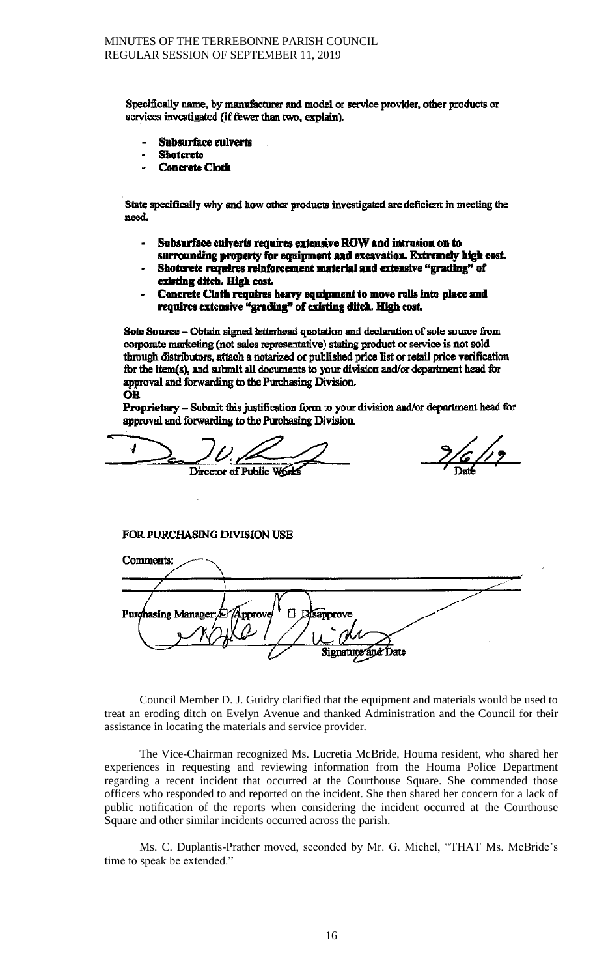Specifically name, by manufacturer and model or service provider, other products or services investigated (if fewer than two, explain).

- **Subsurface culverts**
- **Shotcrete**
- **Concrete Cloth**

State specifically why and how other products investigated are deficient in meeting the need.

- Subsurface culverts requires extensive ROW and intrusion on to surrounding property for equipment and excavation. Extremely high cost.
- Shotcrete requires reinforcement material and extensive "grading" of existing ditch. High cost.
- Concrete Cloth requires heavy equipment to move rolls into place and requires extensive "grading" of existing ditch. High cost.

Sole Source - Obtain signed letterhead quotation and declaration of sole source from corporate marketing (not sales representative) stating product or service is not sold through distributors, attach a notarized or published price list or retail price verification for the item(s), and submit all documents to your division and/or department head for approval and forwarding to the Purchasing Division. OŘ

**Proprietary** – Submit this justification form to your division and/or department head for approval and forwarding to the Purchasing Division.

√

Director of Public Work

6 /1 2

FOR PURCHASING DIVISION USE

| Comments:                   |                                         |  |
|-----------------------------|-----------------------------------------|--|
|                             |                                         |  |
| Purchasing Manager: Approve | <b>Disapprove</b><br>Signature and Date |  |

Council Member D. J. Guidry clarified that the equipment and materials would be used to treat an eroding ditch on Evelyn Avenue and thanked Administration and the Council for their assistance in locating the materials and service provider.

The Vice-Chairman recognized Ms. Lucretia McBride, Houma resident, who shared her experiences in requesting and reviewing information from the Houma Police Department regarding a recent incident that occurred at the Courthouse Square. She commended those officers who responded to and reported on the incident. She then shared her concern for a lack of public notification of the reports when considering the incident occurred at the Courthouse Square and other similar incidents occurred across the parish.

Ms. C. Duplantis-Prather moved, seconded by Mr. G. Michel, "THAT Ms. McBride's time to speak be extended."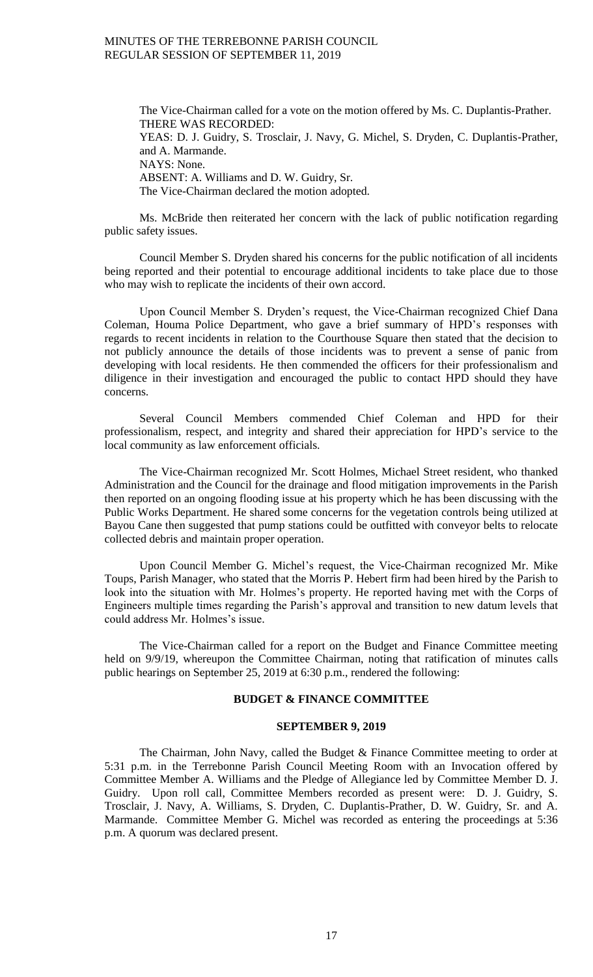The Vice-Chairman called for a vote on the motion offered by Ms. C. Duplantis-Prather. THERE WAS RECORDED: YEAS: D. J. Guidry, S. Trosclair, J. Navy, G. Michel, S. Dryden, C. Duplantis-Prather, and A. Marmande. NAYS: None. ABSENT: A. Williams and D. W. Guidry, Sr. The Vice-Chairman declared the motion adopted.

Ms. McBride then reiterated her concern with the lack of public notification regarding public safety issues.

Council Member S. Dryden shared his concerns for the public notification of all incidents being reported and their potential to encourage additional incidents to take place due to those who may wish to replicate the incidents of their own accord.

Upon Council Member S. Dryden's request, the Vice-Chairman recognized Chief Dana Coleman, Houma Police Department, who gave a brief summary of HPD's responses with regards to recent incidents in relation to the Courthouse Square then stated that the decision to not publicly announce the details of those incidents was to prevent a sense of panic from developing with local residents. He then commended the officers for their professionalism and diligence in their investigation and encouraged the public to contact HPD should they have concerns.

Several Council Members commended Chief Coleman and HPD for their professionalism, respect, and integrity and shared their appreciation for HPD's service to the local community as law enforcement officials.

The Vice-Chairman recognized Mr. Scott Holmes, Michael Street resident, who thanked Administration and the Council for the drainage and flood mitigation improvements in the Parish then reported on an ongoing flooding issue at his property which he has been discussing with the Public Works Department. He shared some concerns for the vegetation controls being utilized at Bayou Cane then suggested that pump stations could be outfitted with conveyor belts to relocate collected debris and maintain proper operation.

Upon Council Member G. Michel's request, the Vice-Chairman recognized Mr. Mike Toups, Parish Manager, who stated that the Morris P. Hebert firm had been hired by the Parish to look into the situation with Mr. Holmes's property. He reported having met with the Corps of Engineers multiple times regarding the Parish's approval and transition to new datum levels that could address Mr. Holmes's issue.

The Vice-Chairman called for a report on the Budget and Finance Committee meeting held on 9/9/19, whereupon the Committee Chairman, noting that ratification of minutes calls public hearings on September 25, 2019 at 6:30 p.m., rendered the following:

### **BUDGET & FINANCE COMMITTEE**

#### **SEPTEMBER 9, 2019**

The Chairman, John Navy, called the Budget & Finance Committee meeting to order at 5:31 p.m. in the Terrebonne Parish Council Meeting Room with an Invocation offered by Committee Member A. Williams and the Pledge of Allegiance led by Committee Member D. J. Guidry. Upon roll call, Committee Members recorded as present were: D. J. Guidry, S. Trosclair, J. Navy, A. Williams, S. Dryden, C. Duplantis-Prather, D. W. Guidry, Sr. and A. Marmande. Committee Member G. Michel was recorded as entering the proceedings at 5:36 p.m. A quorum was declared present.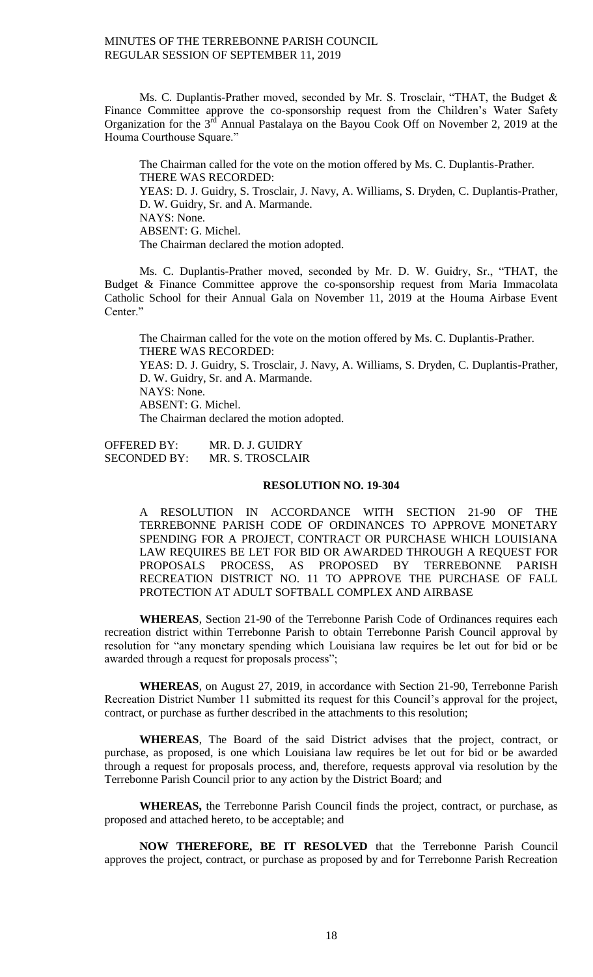Ms. C. Duplantis-Prather moved, seconded by Mr. S. Trosclair, "THAT, the Budget & Finance Committee approve the co-sponsorship request from the Children's Water Safety Organization for the  $3<sup>rd</sup>$  Annual Pastalaya on the Bayou Cook Off on November 2, 2019 at the Houma Courthouse Square."

The Chairman called for the vote on the motion offered by Ms. C. Duplantis-Prather. THERE WAS RECORDED: YEAS: D. J. Guidry, S. Trosclair, J. Navy, A. Williams, S. Dryden, C. Duplantis-Prather, D. W. Guidry, Sr. and A. Marmande. NAYS: None. ABSENT: G. Michel. The Chairman declared the motion adopted.

Ms. C. Duplantis-Prather moved, seconded by Mr. D. W. Guidry, Sr., "THAT, the Budget & Finance Committee approve the co-sponsorship request from Maria Immacolata Catholic School for their Annual Gala on November 11, 2019 at the Houma Airbase Event Center."

The Chairman called for the vote on the motion offered by Ms. C. Duplantis-Prather. THERE WAS RECORDED: YEAS: D. J. Guidry, S. Trosclair, J. Navy, A. Williams, S. Dryden, C. Duplantis-Prather, D. W. Guidry, Sr. and A. Marmande. NAYS: None. ABSENT: G. Michel. The Chairman declared the motion adopted.

OFFERED BY: MR. D. J. GUIDRY SECONDED BY: MR. S. TROSCLAIR

# **RESOLUTION NO. 19-304**

A RESOLUTION IN ACCORDANCE WITH SECTION 21-90 OF THE TERREBONNE PARISH CODE OF ORDINANCES TO APPROVE MONETARY SPENDING FOR A PROJECT, CONTRACT OR PURCHASE WHICH LOUISIANA LAW REQUIRES BE LET FOR BID OR AWARDED THROUGH A REQUEST FOR PROPOSALS PROCESS, AS PROPOSED BY TERREBONNE PARISH RECREATION DISTRICT NO. 11 TO APPROVE THE PURCHASE OF FALL PROTECTION AT ADULT SOFTBALL COMPLEX AND AIRBASE

**WHEREAS**, Section 21-90 of the Terrebonne Parish Code of Ordinances requires each recreation district within Terrebonne Parish to obtain Terrebonne Parish Council approval by resolution for "any monetary spending which Louisiana law requires be let out for bid or be awarded through a request for proposals process";

**WHEREAS**, on August 27, 2019, in accordance with Section 21-90, Terrebonne Parish Recreation District Number 11 submitted its request for this Council's approval for the project, contract, or purchase as further described in the attachments to this resolution;

**WHEREAS**, The Board of the said District advises that the project, contract, or purchase, as proposed, is one which Louisiana law requires be let out for bid or be awarded through a request for proposals process, and, therefore, requests approval via resolution by the Terrebonne Parish Council prior to any action by the District Board; and

**WHEREAS,** the Terrebonne Parish Council finds the project, contract, or purchase, as proposed and attached hereto, to be acceptable; and

**NOW THEREFORE, BE IT RESOLVED** that the Terrebonne Parish Council approves the project, contract, or purchase as proposed by and for Terrebonne Parish Recreation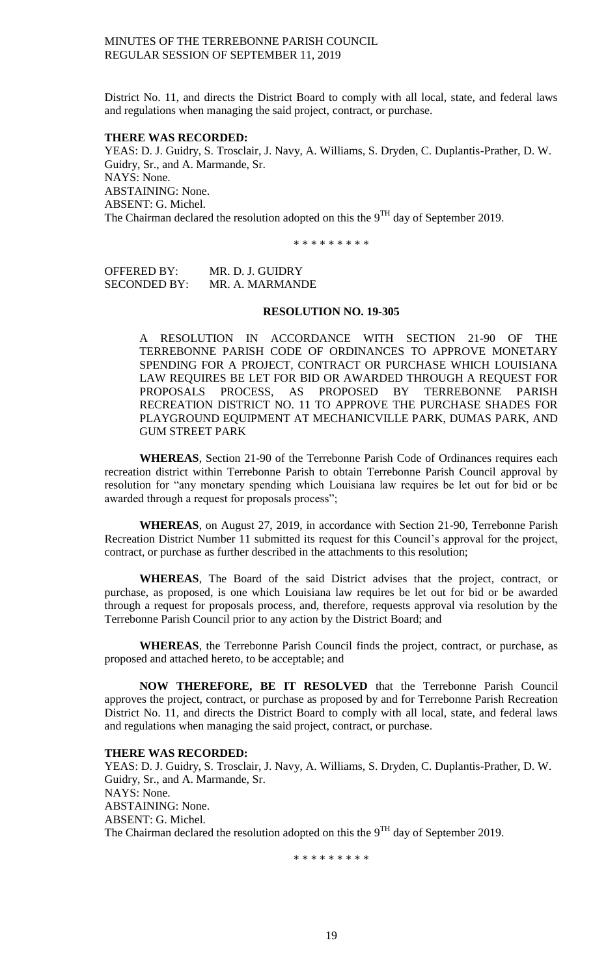District No. 11, and directs the District Board to comply with all local, state, and federal laws and regulations when managing the said project, contract, or purchase.

### **THERE WAS RECORDED:**

YEAS: D. J. Guidry, S. Trosclair, J. Navy, A. Williams, S. Dryden, C. Duplantis-Prather, D. W. Guidry, Sr., and A. Marmande, Sr. NAYS: None. ABSTAINING: None. ABSENT: G. Michel. The Chairman declared the resolution adopted on this the  $9^{TH}$  day of September 2019.

\* \* \* \* \* \* \* \* \*

OFFERED BY: MR. D. J. GUIDRY SECONDED BY: MR. A. MARMANDE

### **RESOLUTION NO. 19-305**

A RESOLUTION IN ACCORDANCE WITH SECTION 21-90 OF THE TERREBONNE PARISH CODE OF ORDINANCES TO APPROVE MONETARY SPENDING FOR A PROJECT, CONTRACT OR PURCHASE WHICH LOUISIANA LAW REQUIRES BE LET FOR BID OR AWARDED THROUGH A REQUEST FOR PROPOSALS PROCESS, AS PROPOSED BY TERREBONNE PARISH RECREATION DISTRICT NO. 11 TO APPROVE THE PURCHASE SHADES FOR PLAYGROUND EQUIPMENT AT MECHANICVILLE PARK, DUMAS PARK, AND GUM STREET PARK

**WHEREAS**, Section 21-90 of the Terrebonne Parish Code of Ordinances requires each recreation district within Terrebonne Parish to obtain Terrebonne Parish Council approval by resolution for "any monetary spending which Louisiana law requires be let out for bid or be awarded through a request for proposals process";

**WHEREAS**, on August 27, 2019, in accordance with Section 21-90, Terrebonne Parish Recreation District Number 11 submitted its request for this Council's approval for the project, contract, or purchase as further described in the attachments to this resolution;

**WHEREAS**, The Board of the said District advises that the project, contract, or purchase, as proposed, is one which Louisiana law requires be let out for bid or be awarded through a request for proposals process, and, therefore, requests approval via resolution by the Terrebonne Parish Council prior to any action by the District Board; and

**WHEREAS**, the Terrebonne Parish Council finds the project, contract, or purchase, as proposed and attached hereto, to be acceptable; and

**NOW THEREFORE, BE IT RESOLVED** that the Terrebonne Parish Council approves the project, contract, or purchase as proposed by and for Terrebonne Parish Recreation District No. 11, and directs the District Board to comply with all local, state, and federal laws and regulations when managing the said project, contract, or purchase.

### **THERE WAS RECORDED:**

YEAS: D. J. Guidry, S. Trosclair, J. Navy, A. Williams, S. Dryden, C. Duplantis-Prather, D. W. Guidry, Sr., and A. Marmande, Sr. NAYS: None. ABSTAINING: None. ABSENT: G. Michel. The Chairman declared the resolution adopted on this the  $9<sup>TH</sup>$  day of September 2019.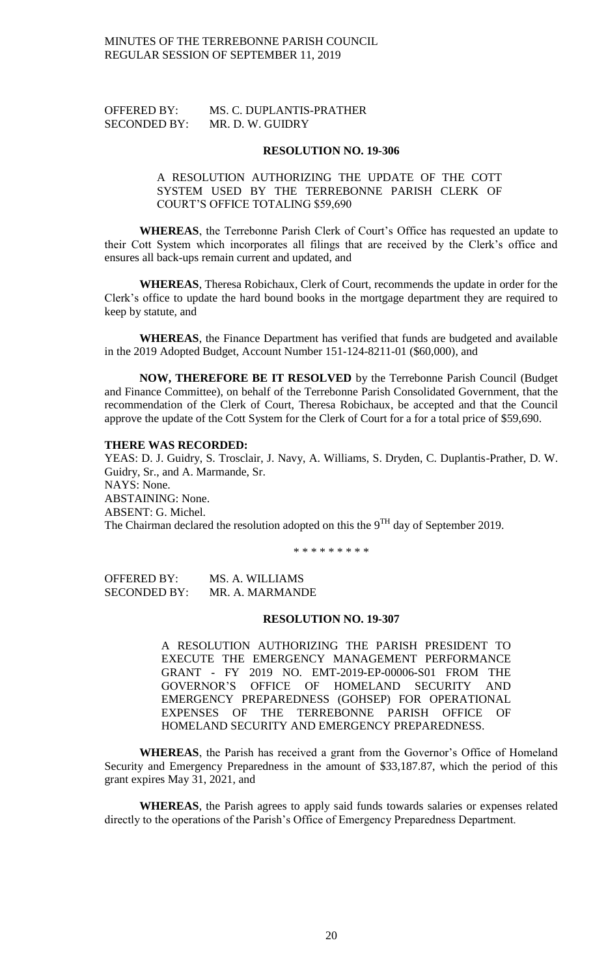| <b>OFFERED BY:</b>  | MS. C. DUPLANTIS-PRATHER |
|---------------------|--------------------------|
| <b>SECONDED BY:</b> | MR. D. W. GUIDRY         |

#### **RESOLUTION NO. 19-306**

# A RESOLUTION AUTHORIZING THE UPDATE OF THE COTT SYSTEM USED BY THE TERREBONNE PARISH CLERK OF COURT'S OFFICE TOTALING \$59,690

**WHEREAS**, the Terrebonne Parish Clerk of Court's Office has requested an update to their Cott System which incorporates all filings that are received by the Clerk's office and ensures all back-ups remain current and updated, and

**WHEREAS**, Theresa Robichaux, Clerk of Court, recommends the update in order for the Clerk's office to update the hard bound books in the mortgage department they are required to keep by statute, and

**WHEREAS**, the Finance Department has verified that funds are budgeted and available in the 2019 Adopted Budget, Account Number 151-124-8211-01 (\$60,000), and

**NOW, THEREFORE BE IT RESOLVED** by the Terrebonne Parish Council (Budget and Finance Committee), on behalf of the Terrebonne Parish Consolidated Government, that the recommendation of the Clerk of Court, Theresa Robichaux, be accepted and that the Council approve the update of the Cott System for the Clerk of Court for a for a total price of \$59,690.

#### **THERE WAS RECORDED:**

YEAS: D. J. Guidry, S. Trosclair, J. Navy, A. Williams, S. Dryden, C. Duplantis-Prather, D. W. Guidry, Sr., and A. Marmande, Sr. NAYS: None. ABSTAINING: None. ABSENT: G. Michel. The Chairman declared the resolution adopted on this the  $9<sup>TH</sup>$  day of September 2019.

\* \* \* \* \* \* \* \* \*

OFFERED BY: MS. A. WILLIAMS SECONDED BY: MR. A. MARMANDE

## **RESOLUTION NO. 19-307**

A RESOLUTION AUTHORIZING THE PARISH PRESIDENT TO EXECUTE THE EMERGENCY MANAGEMENT PERFORMANCE GRANT - FY 2019 NO. EMT-2019-EP-00006-S01 FROM THE GOVERNOR'S OFFICE OF HOMELAND SECURITY AND EMERGENCY PREPAREDNESS (GOHSEP) FOR OPERATIONAL EXPENSES OF THE TERREBONNE PARISH OFFICE OF HOMELAND SECURITY AND EMERGENCY PREPAREDNESS.

**WHEREAS**, the Parish has received a grant from the Governor's Office of Homeland Security and Emergency Preparedness in the amount of \$33,187.87, which the period of this grant expires May 31, 2021, and

**WHEREAS**, the Parish agrees to apply said funds towards salaries or expenses related directly to the operations of the Parish's Office of Emergency Preparedness Department.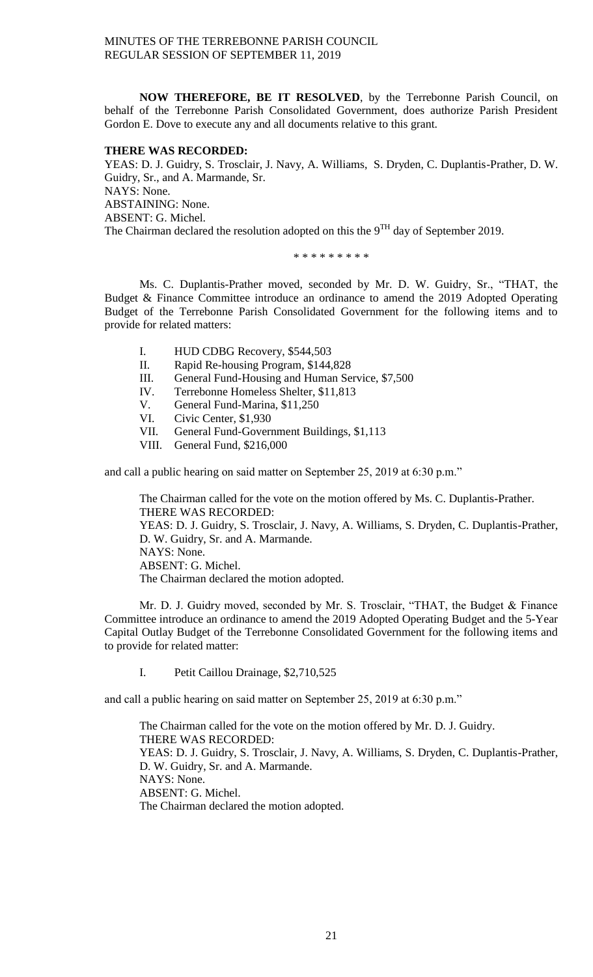**NOW THEREFORE, BE IT RESOLVED**, by the Terrebonne Parish Council, on behalf of the Terrebonne Parish Consolidated Government, does authorize Parish President Gordon E. Dove to execute any and all documents relative to this grant.

# **THERE WAS RECORDED:**

YEAS: D. J. Guidry, S. Trosclair, J. Navy, A. Williams, S. Dryden, C. Duplantis-Prather, D. W. Guidry, Sr., and A. Marmande, Sr. NAYS: None. ABSTAINING: None. ABSENT: G. Michel. The Chairman declared the resolution adopted on this the  $9<sup>TH</sup>$  day of September 2019.

\* \* \* \* \* \* \* \* \*

Ms. C. Duplantis-Prather moved, seconded by Mr. D. W. Guidry, Sr., "THAT, the Budget & Finance Committee introduce an ordinance to amend the 2019 Adopted Operating Budget of the Terrebonne Parish Consolidated Government for the following items and to provide for related matters:

- I. HUD CDBG Recovery, \$544,503
- II. Rapid Re-housing Program, \$144,828
- III. General Fund-Housing and Human Service, \$7,500
- IV. Terrebonne Homeless Shelter, \$11,813
- V. General Fund-Marina, \$11,250<br>VI Civic Center. \$1,930
- Civic Center, \$1,930
- VII. General Fund-Government Buildings, \$1,113
- VIII. General Fund, \$216,000

and call a public hearing on said matter on September 25, 2019 at 6:30 p.m."

The Chairman called for the vote on the motion offered by Ms. C. Duplantis-Prather. THERE WAS RECORDED: YEAS: D. J. Guidry, S. Trosclair, J. Navy, A. Williams, S. Dryden, C. Duplantis-Prather, D. W. Guidry, Sr. and A. Marmande. NAYS: None. ABSENT: G. Michel. The Chairman declared the motion adopted.

Mr. D. J. Guidry moved, seconded by Mr. S. Trosclair, "THAT, the Budget & Finance Committee introduce an ordinance to amend the 2019 Adopted Operating Budget and the 5-Year Capital Outlay Budget of the Terrebonne Consolidated Government for the following items and to provide for related matter:

I. Petit Caillou Drainage, \$2,710,525

and call a public hearing on said matter on September 25, 2019 at 6:30 p.m."

The Chairman called for the vote on the motion offered by Mr. D. J. Guidry. THERE WAS RECORDED: YEAS: D. J. Guidry, S. Trosclair, J. Navy, A. Williams, S. Dryden, C. Duplantis-Prather, D. W. Guidry, Sr. and A. Marmande. NAYS: None. ABSENT: G. Michel. The Chairman declared the motion adopted.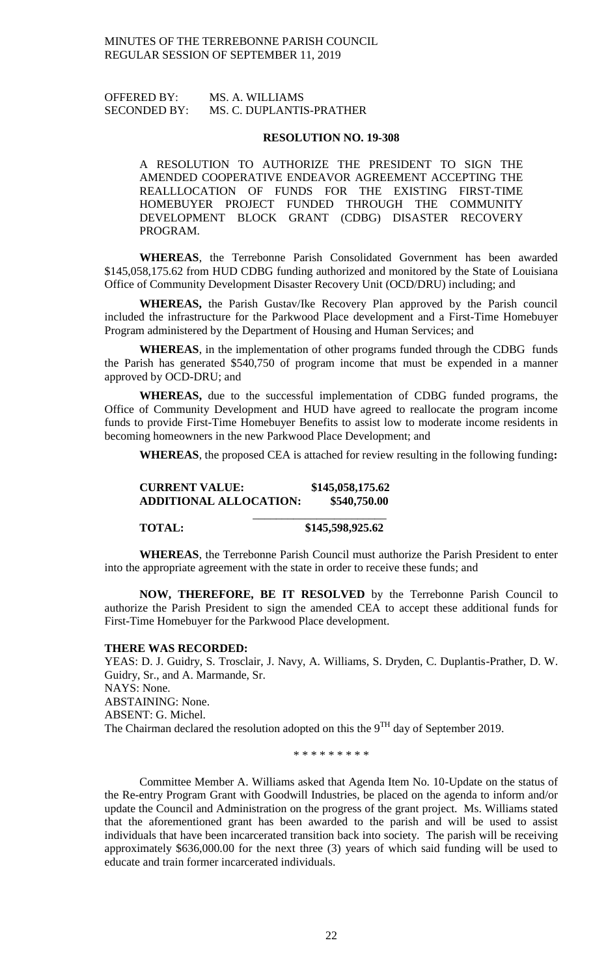# OFFERED BY: MS. A. WILLIAMS SECONDED BY: MS. C. DUPLANTIS-PRATHER

#### **RESOLUTION NO. 19-308**

A RESOLUTION TO AUTHORIZE THE PRESIDENT TO SIGN THE AMENDED COOPERATIVE ENDEAVOR AGREEMENT ACCEPTING THE REALLLOCATION OF FUNDS FOR THE EXISTING FIRST-TIME HOMEBUYER PROJECT FUNDED THROUGH THE COMMUNITY DEVELOPMENT BLOCK GRANT (CDBG) DISASTER RECOVERY PROGRAM.

**WHEREAS**, the Terrebonne Parish Consolidated Government has been awarded \$145,058,175.62 from HUD CDBG funding authorized and monitored by the State of Louisiana Office of Community Development Disaster Recovery Unit (OCD/DRU) including; and

**WHEREAS,** the Parish Gustav/Ike Recovery Plan approved by the Parish council included the infrastructure for the Parkwood Place development and a First-Time Homebuyer Program administered by the Department of Housing and Human Services; and

**WHEREAS**, in the implementation of other programs funded through the CDBG funds the Parish has generated \$540,750 of program income that must be expended in a manner approved by OCD-DRU; and

**WHEREAS,** due to the successful implementation of CDBG funded programs, the Office of Community Development and HUD have agreed to reallocate the program income funds to provide First-Time Homebuyer Benefits to assist low to moderate income residents in becoming homeowners in the new Parkwood Place Development; and

**WHEREAS**, the proposed CEA is attached for review resulting in the following funding**:**

# **CURRENT VALUE: \$145,058,175.62 ADDITIONAL ALLOCATION: \$540,750.00**  $\frac{1}{2}$  , and the set of the set of the set of the set of the set of the set of the set of the set of the set of the set of the set of the set of the set of the set of the set of the set of the set of the set of the set

**TOTAL: \$145,598,925.62**

**WHEREAS**, the Terrebonne Parish Council must authorize the Parish President to enter into the appropriate agreement with the state in order to receive these funds; and

**NOW, THEREFORE, BE IT RESOLVED** by the Terrebonne Parish Council to authorize the Parish President to sign the amended CEA to accept these additional funds for First-Time Homebuyer for the Parkwood Place development.

#### **THERE WAS RECORDED:**

YEAS: D. J. Guidry, S. Trosclair, J. Navy, A. Williams, S. Dryden, C. Duplantis-Prather, D. W. Guidry, Sr., and A. Marmande, Sr. NAYS: None. ABSTAINING: None. ABSENT: G. Michel. The Chairman declared the resolution adopted on this the  $9<sup>TH</sup>$  day of September 2019.

\* \* \* \* \* \* \* \* \*

Committee Member A. Williams asked that Agenda Item No. 10-Update on the status of the Re-entry Program Grant with Goodwill Industries, be placed on the agenda to inform and/or update the Council and Administration on the progress of the grant project. Ms. Williams stated that the aforementioned grant has been awarded to the parish and will be used to assist individuals that have been incarcerated transition back into society. The parish will be receiving approximately \$636,000.00 for the next three (3) years of which said funding will be used to educate and train former incarcerated individuals.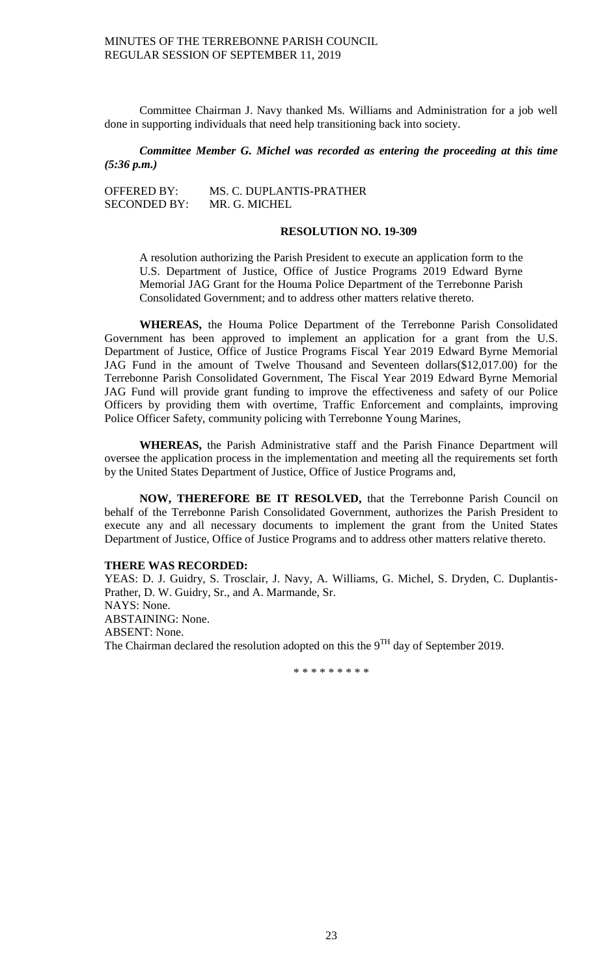Committee Chairman J. Navy thanked Ms. Williams and Administration for a job well done in supporting individuals that need help transitioning back into society.

# *Committee Member G. Michel was recorded as entering the proceeding at this time (5:36 p.m.)*

| <b>OFFERED BY:</b>  | MS. C. DUPLANTIS-PRATHER |
|---------------------|--------------------------|
| <b>SECONDED BY:</b> | MR. G. MICHEL            |

### **RESOLUTION NO. 19-309**

A resolution authorizing the Parish President to execute an application form to the U.S. Department of Justice, Office of Justice Programs 2019 Edward Byrne Memorial JAG Grant for the Houma Police Department of the Terrebonne Parish Consolidated Government; and to address other matters relative thereto.

**WHEREAS,** the Houma Police Department of the Terrebonne Parish Consolidated Government has been approved to implement an application for a grant from the U.S. Department of Justice, Office of Justice Programs Fiscal Year 2019 Edward Byrne Memorial JAG Fund in the amount of Twelve Thousand and Seventeen dollars(\$12,017.00) for the Terrebonne Parish Consolidated Government, The Fiscal Year 2019 Edward Byrne Memorial JAG Fund will provide grant funding to improve the effectiveness and safety of our Police Officers by providing them with overtime, Traffic Enforcement and complaints, improving Police Officer Safety, community policing with Terrebonne Young Marines,

**WHEREAS,** the Parish Administrative staff and the Parish Finance Department will oversee the application process in the implementation and meeting all the requirements set forth by the United States Department of Justice, Office of Justice Programs and,

**NOW, THEREFORE BE IT RESOLVED,** that the Terrebonne Parish Council on behalf of the Terrebonne Parish Consolidated Government, authorizes the Parish President to execute any and all necessary documents to implement the grant from the United States Department of Justice, Office of Justice Programs and to address other matters relative thereto.

## **THERE WAS RECORDED:**

YEAS: D. J. Guidry, S. Trosclair, J. Navy, A. Williams, G. Michel, S. Dryden, C. Duplantis-Prather, D. W. Guidry, Sr., and A. Marmande, Sr. NAYS: None. ABSTAINING: None. ABSENT: None. The Chairman declared the resolution adopted on this the 9<sup>TH</sup> day of September 2019.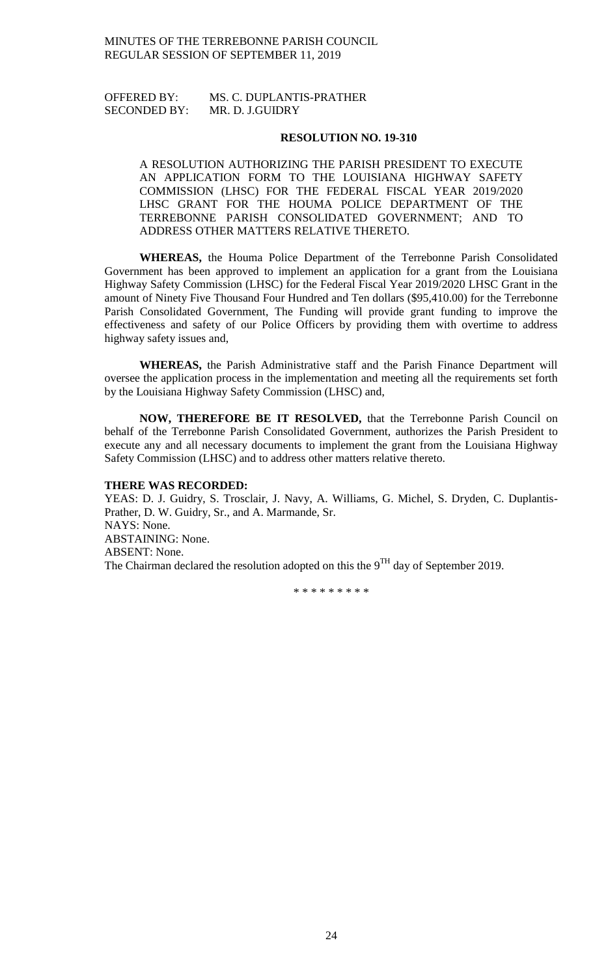# OFFERED BY: MS. C. DUPLANTIS-PRATHER SECONDED BY: MR. D. J.GUIDRY

### **RESOLUTION NO. 19-310**

A RESOLUTION AUTHORIZING THE PARISH PRESIDENT TO EXECUTE AN APPLICATION FORM TO THE LOUISIANA HIGHWAY SAFETY COMMISSION (LHSC) FOR THE FEDERAL FISCAL YEAR 2019/2020 LHSC GRANT FOR THE HOUMA POLICE DEPARTMENT OF THE TERREBONNE PARISH CONSOLIDATED GOVERNMENT; AND TO ADDRESS OTHER MATTERS RELATIVE THERETO.

**WHEREAS,** the Houma Police Department of the Terrebonne Parish Consolidated Government has been approved to implement an application for a grant from the Louisiana Highway Safety Commission (LHSC) for the Federal Fiscal Year 2019/2020 LHSC Grant in the amount of Ninety Five Thousand Four Hundred and Ten dollars (\$95,410.00) for the Terrebonne Parish Consolidated Government, The Funding will provide grant funding to improve the effectiveness and safety of our Police Officers by providing them with overtime to address highway safety issues and,

**WHEREAS,** the Parish Administrative staff and the Parish Finance Department will oversee the application process in the implementation and meeting all the requirements set forth by the Louisiana Highway Safety Commission (LHSC) and,

**NOW, THEREFORE BE IT RESOLVED,** that the Terrebonne Parish Council on behalf of the Terrebonne Parish Consolidated Government, authorizes the Parish President to execute any and all necessary documents to implement the grant from the Louisiana Highway Safety Commission (LHSC) and to address other matters relative thereto.

## **THERE WAS RECORDED:**

YEAS: D. J. Guidry, S. Trosclair, J. Navy, A. Williams, G. Michel, S. Dryden, C. Duplantis-Prather, D. W. Guidry, Sr., and A. Marmande, Sr. NAYS: None. ABSTAINING: None. ABSENT: None. The Chairman declared the resolution adopted on this the  $9<sup>TH</sup>$  day of September 2019.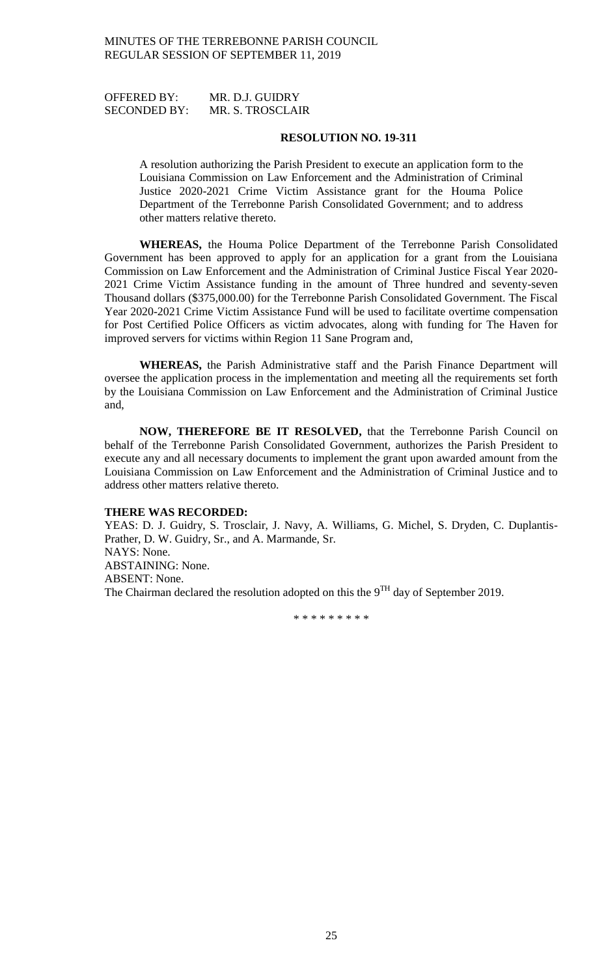OFFERED BY: MR. D.J. GUIDRY SECONDED BY: MR. S. TROSCLAIR

### **RESOLUTION NO. 19-311**

A resolution authorizing the Parish President to execute an application form to the Louisiana Commission on Law Enforcement and the Administration of Criminal Justice 2020-2021 Crime Victim Assistance grant for the Houma Police Department of the Terrebonne Parish Consolidated Government; and to address other matters relative thereto.

**WHEREAS,** the Houma Police Department of the Terrebonne Parish Consolidated Government has been approved to apply for an application for a grant from the Louisiana Commission on Law Enforcement and the Administration of Criminal Justice Fiscal Year 2020- 2021 Crime Victim Assistance funding in the amount of Three hundred and seventy-seven Thousand dollars (\$375,000.00) for the Terrebonne Parish Consolidated Government. The Fiscal Year 2020-2021 Crime Victim Assistance Fund will be used to facilitate overtime compensation for Post Certified Police Officers as victim advocates, along with funding for The Haven for improved servers for victims within Region 11 Sane Program and,

**WHEREAS,** the Parish Administrative staff and the Parish Finance Department will oversee the application process in the implementation and meeting all the requirements set forth by the Louisiana Commission on Law Enforcement and the Administration of Criminal Justice and,

**NOW, THEREFORE BE IT RESOLVED,** that the Terrebonne Parish Council on behalf of the Terrebonne Parish Consolidated Government, authorizes the Parish President to execute any and all necessary documents to implement the grant upon awarded amount from the Louisiana Commission on Law Enforcement and the Administration of Criminal Justice and to address other matters relative thereto.

### **THERE WAS RECORDED:**

YEAS: D. J. Guidry, S. Trosclair, J. Navy, A. Williams, G. Michel, S. Dryden, C. Duplantis-Prather, D. W. Guidry, Sr., and A. Marmande, Sr. NAYS: None. ABSTAINING: None. ABSENT: None. The Chairman declared the resolution adopted on this the  $9<sup>TH</sup>$  day of September 2019.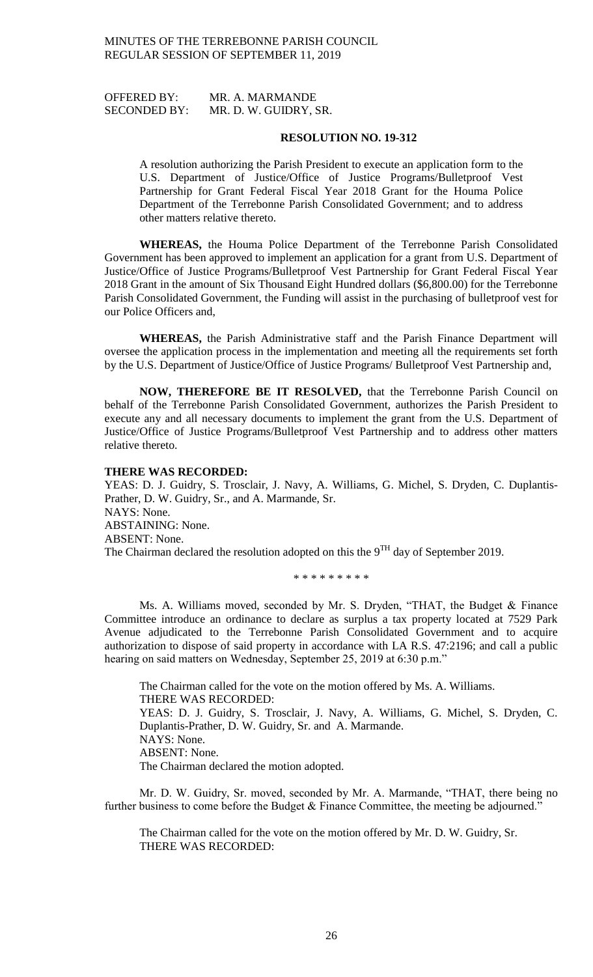OFFERED BY: MR. A. MARMANDE SECONDED BY: MR. D. W. GUIDRY, SR.

### **RESOLUTION NO. 19-312**

A resolution authorizing the Parish President to execute an application form to the U.S. Department of Justice/Office of Justice Programs/Bulletproof Vest Partnership for Grant Federal Fiscal Year 2018 Grant for the Houma Police Department of the Terrebonne Parish Consolidated Government; and to address other matters relative thereto.

**WHEREAS,** the Houma Police Department of the Terrebonne Parish Consolidated Government has been approved to implement an application for a grant from U.S. Department of Justice/Office of Justice Programs/Bulletproof Vest Partnership for Grant Federal Fiscal Year 2018 Grant in the amount of Six Thousand Eight Hundred dollars (\$6,800.00) for the Terrebonne Parish Consolidated Government, the Funding will assist in the purchasing of bulletproof vest for our Police Officers and,

**WHEREAS,** the Parish Administrative staff and the Parish Finance Department will oversee the application process in the implementation and meeting all the requirements set forth by the U.S. Department of Justice/Office of Justice Programs/ Bulletproof Vest Partnership and,

**NOW, THEREFORE BE IT RESOLVED,** that the Terrebonne Parish Council on behalf of the Terrebonne Parish Consolidated Government, authorizes the Parish President to execute any and all necessary documents to implement the grant from the U.S. Department of Justice/Office of Justice Programs/Bulletproof Vest Partnership and to address other matters relative thereto.

### **THERE WAS RECORDED:**

YEAS: D. J. Guidry, S. Trosclair, J. Navy, A. Williams, G. Michel, S. Dryden, C. Duplantis-Prather, D. W. Guidry, Sr., and A. Marmande, Sr. NAYS: None. ABSTAINING: None. ABSENT: None. The Chairman declared the resolution adopted on this the  $9<sup>TH</sup>$  day of September 2019.

\* \* \* \* \* \* \* \* \*

Ms. A. Williams moved, seconded by Mr. S. Dryden, "THAT, the Budget & Finance Committee introduce an ordinance to declare as surplus a tax property located at 7529 Park Avenue adjudicated to the Terrebonne Parish Consolidated Government and to acquire authorization to dispose of said property in accordance with LA R.S. 47:2196; and call a public hearing on said matters on Wednesday, September 25, 2019 at 6:30 p.m."

The Chairman called for the vote on the motion offered by Ms. A. Williams. THERE WAS RECORDED: YEAS: D. J. Guidry, S. Trosclair, J. Navy, A. Williams, G. Michel, S. Dryden, C. Duplantis-Prather, D. W. Guidry, Sr. and A. Marmande. NAYS: None. ABSENT: None. The Chairman declared the motion adopted.

Mr. D. W. Guidry, Sr. moved, seconded by Mr. A. Marmande, "THAT, there being no further business to come before the Budget & Finance Committee, the meeting be adjourned."

The Chairman called for the vote on the motion offered by Mr. D. W. Guidry, Sr. THERE WAS RECORDED: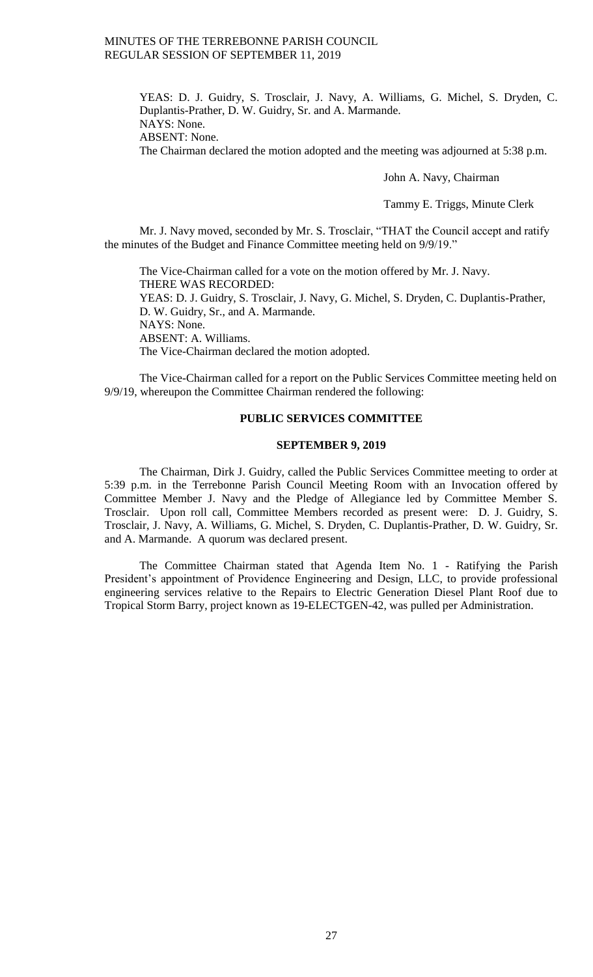YEAS: D. J. Guidry, S. Trosclair, J. Navy, A. Williams, G. Michel, S. Dryden, C. Duplantis-Prather, D. W. Guidry, Sr. and A. Marmande. NAYS: None.

ABSENT: None.

The Chairman declared the motion adopted and the meeting was adjourned at 5:38 p.m.

John A. Navy, Chairman

Tammy E. Triggs, Minute Clerk

Mr. J. Navy moved, seconded by Mr. S. Trosclair, "THAT the Council accept and ratify the minutes of the Budget and Finance Committee meeting held on 9/9/19."

The Vice-Chairman called for a vote on the motion offered by Mr. J. Navy. THERE WAS RECORDED: YEAS: D. J. Guidry, S. Trosclair, J. Navy, G. Michel, S. Dryden, C. Duplantis-Prather, D. W. Guidry, Sr., and A. Marmande. NAYS: None. ABSENT: A. Williams. The Vice-Chairman declared the motion adopted.

The Vice-Chairman called for a report on the Public Services Committee meeting held on 9/9/19, whereupon the Committee Chairman rendered the following:

# **PUBLIC SERVICES COMMITTEE**

### **SEPTEMBER 9, 2019**

The Chairman, Dirk J. Guidry, called the Public Services Committee meeting to order at 5:39 p.m. in the Terrebonne Parish Council Meeting Room with an Invocation offered by Committee Member J. Navy and the Pledge of Allegiance led by Committee Member S. Trosclair. Upon roll call, Committee Members recorded as present were: D. J. Guidry, S. Trosclair, J. Navy, A. Williams, G. Michel, S. Dryden, C. Duplantis-Prather, D. W. Guidry, Sr. and A. Marmande. A quorum was declared present.

The Committee Chairman stated that Agenda Item No. 1 - Ratifying the Parish President's appointment of Providence Engineering and Design, LLC, to provide professional engineering services relative to the Repairs to Electric Generation Diesel Plant Roof due to Tropical Storm Barry, project known as 19-ELECTGEN-42, was pulled per Administration.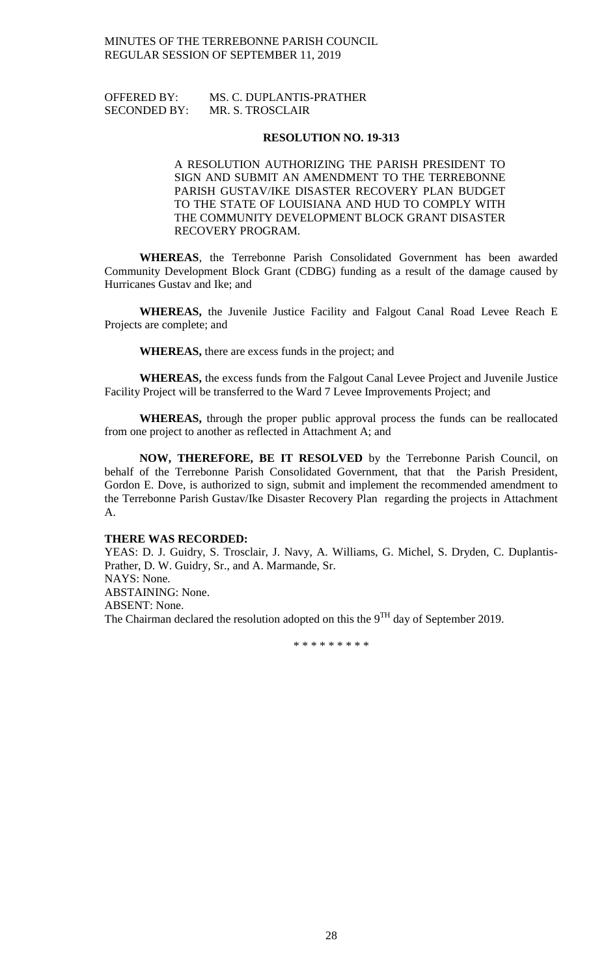# OFFERED BY: MS. C. DUPLANTIS-PRATHER SECONDED BY: MR. S. TROSCLAIR

## **RESOLUTION NO. 19-313**

A RESOLUTION AUTHORIZING THE PARISH PRESIDENT TO SIGN AND SUBMIT AN AMENDMENT TO THE TERREBONNE PARISH GUSTAV/IKE DISASTER RECOVERY PLAN BUDGET TO THE STATE OF LOUISIANA AND HUD TO COMPLY WITH THE COMMUNITY DEVELOPMENT BLOCK GRANT DISASTER RECOVERY PROGRAM.

**WHEREAS**, the Terrebonne Parish Consolidated Government has been awarded Community Development Block Grant (CDBG) funding as a result of the damage caused by Hurricanes Gustav and Ike; and

**WHEREAS,** the Juvenile Justice Facility and Falgout Canal Road Levee Reach E Projects are complete; and

**WHEREAS,** there are excess funds in the project; and

**WHEREAS,** the excess funds from the Falgout Canal Levee Project and Juvenile Justice Facility Project will be transferred to the Ward 7 Levee Improvements Project; and

**WHEREAS,** through the proper public approval process the funds can be reallocated from one project to another as reflected in Attachment A; and

**NOW, THEREFORE, BE IT RESOLVED** by the Terrebonne Parish Council, on behalf of the Terrebonne Parish Consolidated Government, that that the Parish President, Gordon E. Dove, is authorized to sign, submit and implement the recommended amendment to the Terrebonne Parish Gustav/Ike Disaster Recovery Plan regarding the projects in Attachment A.

## **THERE WAS RECORDED:**

YEAS: D. J. Guidry, S. Trosclair, J. Navy, A. Williams, G. Michel, S. Dryden, C. Duplantis-Prather, D. W. Guidry, Sr., and A. Marmande, Sr. NAYS: None. ABSTAINING: None. ABSENT: None. The Chairman declared the resolution adopted on this the  $9<sup>TH</sup>$  day of September 2019.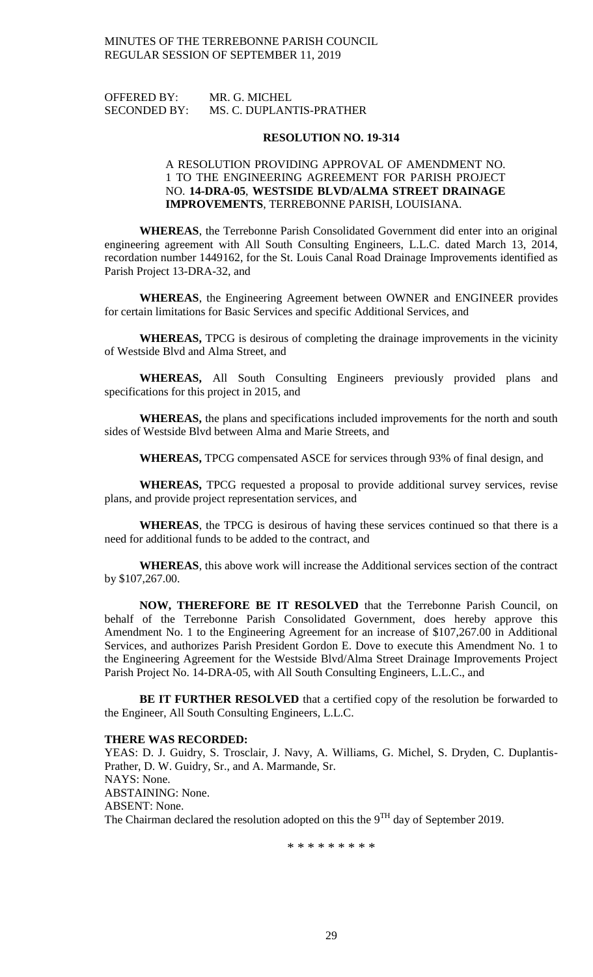OFFERED BY: MR. G. MICHEL SECONDED BY: MS. C. DUPLANTIS-PRATHER

#### **RESOLUTION NO. 19-314**

# A RESOLUTION PROVIDING APPROVAL OF AMENDMENT NO. 1 TO THE ENGINEERING AGREEMENT FOR PARISH PROJECT NO. **14-DRA-05**, **WESTSIDE BLVD/ALMA STREET DRAINAGE IMPROVEMENTS**, TERREBONNE PARISH, LOUISIANA.

**WHEREAS**, the Terrebonne Parish Consolidated Government did enter into an original engineering agreement with All South Consulting Engineers, L.L.C. dated March 13, 2014, recordation number 1449162, for the St. Louis Canal Road Drainage Improvements identified as Parish Project 13-DRA-32, and

**WHEREAS**, the Engineering Agreement between OWNER and ENGINEER provides for certain limitations for Basic Services and specific Additional Services, and

**WHEREAS,** TPCG is desirous of completing the drainage improvements in the vicinity of Westside Blvd and Alma Street, and

**WHEREAS,** All South Consulting Engineers previously provided plans and specifications for this project in 2015, and

**WHEREAS,** the plans and specifications included improvements for the north and south sides of Westside Blvd between Alma and Marie Streets, and

**WHEREAS,** TPCG compensated ASCE for services through 93% of final design, and

**WHEREAS,** TPCG requested a proposal to provide additional survey services, revise plans, and provide project representation services, and

**WHEREAS**, the TPCG is desirous of having these services continued so that there is a need for additional funds to be added to the contract, and

**WHEREAS**, this above work will increase the Additional services section of the contract by \$107,267.00.

**NOW, THEREFORE BE IT RESOLVED** that the Terrebonne Parish Council, on behalf of the Terrebonne Parish Consolidated Government, does hereby approve this Amendment No. 1 to the Engineering Agreement for an increase of \$107,267.00 in Additional Services, and authorizes Parish President Gordon E. Dove to execute this Amendment No. 1 to the Engineering Agreement for the Westside Blvd/Alma Street Drainage Improvements Project Parish Project No. 14-DRA-05, with All South Consulting Engineers, L.L.C., and

**BE IT FURTHER RESOLVED** that a certified copy of the resolution be forwarded to the Engineer, All South Consulting Engineers, L.L.C.

### **THERE WAS RECORDED:**

YEAS: D. J. Guidry, S. Trosclair, J. Navy, A. Williams, G. Michel, S. Dryden, C. Duplantis-Prather, D. W. Guidry, Sr., and A. Marmande, Sr. NAYS: None. ABSTAINING: None. ABSENT: None. The Chairman declared the resolution adopted on this the  $9<sup>TH</sup>$  day of September 2019.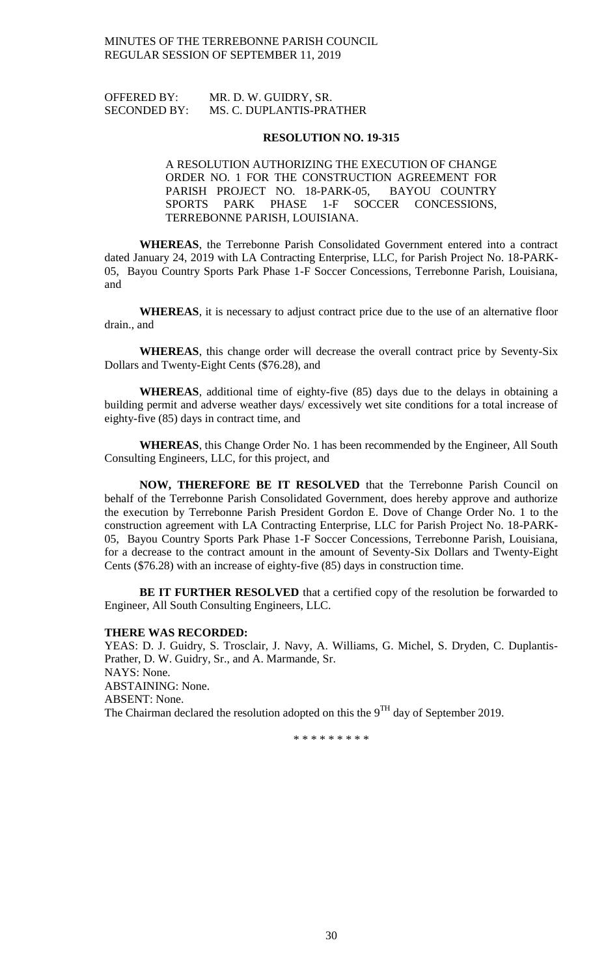# OFFERED BY: MR. D. W. GUIDRY, SR. SECONDED BY: MS. C. DUPLANTIS-PRATHER

### **RESOLUTION NO. 19-315**

# A RESOLUTION AUTHORIZING THE EXECUTION OF CHANGE ORDER NO. 1 FOR THE CONSTRUCTION AGREEMENT FOR PARISH PROJECT NO. 18-PARK-05, BAYOU COUNTRY SPORTS PARK PHASE 1-F SOCCER CONCESSIONS, TERREBONNE PARISH, LOUISIANA.

**WHEREAS**, the Terrebonne Parish Consolidated Government entered into a contract dated January 24, 2019 with LA Contracting Enterprise, LLC, for Parish Project No. 18-PARK-05, Bayou Country Sports Park Phase 1-F Soccer Concessions, Terrebonne Parish, Louisiana, and

**WHEREAS**, it is necessary to adjust contract price due to the use of an alternative floor drain., and

**WHEREAS**, this change order will decrease the overall contract price by Seventy-Six Dollars and Twenty-Eight Cents (\$76.28), and

**WHEREAS**, additional time of eighty-five (85) days due to the delays in obtaining a building permit and adverse weather days/ excessively wet site conditions for a total increase of eighty-five (85) days in contract time, and

**WHEREAS**, this Change Order No. 1 has been recommended by the Engineer, All South Consulting Engineers, LLC, for this project, and

**NOW, THEREFORE BE IT RESOLVED** that the Terrebonne Parish Council on behalf of the Terrebonne Parish Consolidated Government, does hereby approve and authorize the execution by Terrebonne Parish President Gordon E. Dove of Change Order No. 1 to the construction agreement with LA Contracting Enterprise, LLC for Parish Project No. 18-PARK-05, Bayou Country Sports Park Phase 1-F Soccer Concessions, Terrebonne Parish, Louisiana, for a decrease to the contract amount in the amount of Seventy-Six Dollars and Twenty-Eight Cents (\$76.28) with an increase of eighty-five (85) days in construction time.

**BE IT FURTHER RESOLVED** that a certified copy of the resolution be forwarded to Engineer, All South Consulting Engineers, LLC.

### **THERE WAS RECORDED:**

YEAS: D. J. Guidry, S. Trosclair, J. Navy, A. Williams, G. Michel, S. Dryden, C. Duplantis-Prather, D. W. Guidry, Sr., and A. Marmande, Sr. NAYS: None. ABSTAINING: None. ABSENT: None. The Chairman declared the resolution adopted on this the 9<sup>TH</sup> day of September 2019.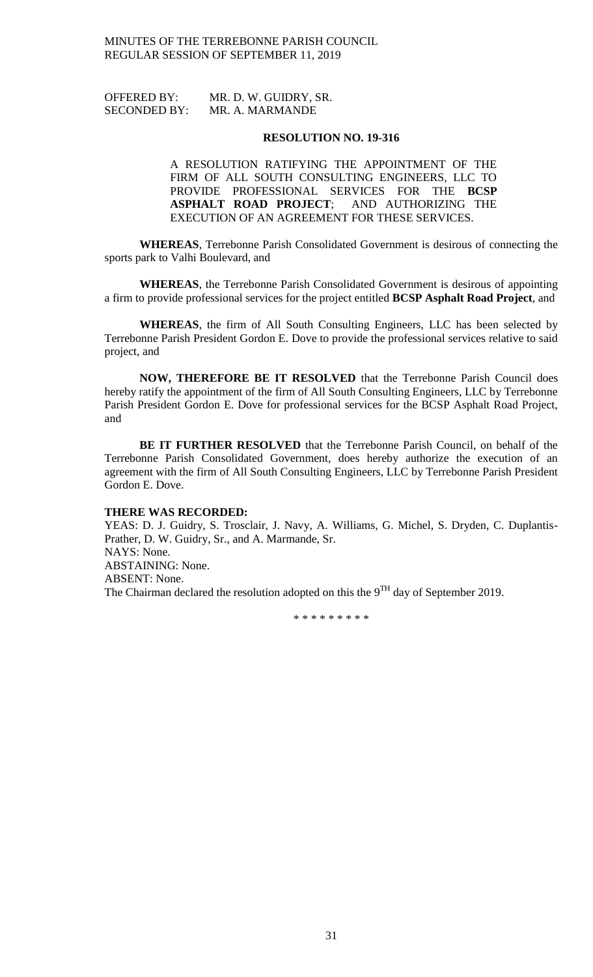| <b>OFFERED BY:</b>  | MR. D. W. GUIDRY, SR. |
|---------------------|-----------------------|
| <b>SECONDED BY:</b> | MR. A. MARMANDE       |

### **RESOLUTION NO. 19-316**

A RESOLUTION RATIFYING THE APPOINTMENT OF THE FIRM OF ALL SOUTH CONSULTING ENGINEERS, LLC TO PROVIDE PROFESSIONAL SERVICES FOR THE **BCSP ASPHALT ROAD PROJECT**; AND AUTHORIZING THE EXECUTION OF AN AGREEMENT FOR THESE SERVICES.

**WHEREAS**, Terrebonne Parish Consolidated Government is desirous of connecting the sports park to Valhi Boulevard, and

**WHEREAS**, the Terrebonne Parish Consolidated Government is desirous of appointing a firm to provide professional services for the project entitled **BCSP Asphalt Road Project**, and

**WHEREAS**, the firm of All South Consulting Engineers, LLC has been selected by Terrebonne Parish President Gordon E. Dove to provide the professional services relative to said project, and

**NOW, THEREFORE BE IT RESOLVED** that the Terrebonne Parish Council does hereby ratify the appointment of the firm of All South Consulting Engineers, LLC by Terrebonne Parish President Gordon E. Dove for professional services for the BCSP Asphalt Road Project, and

**BE IT FURTHER RESOLVED** that the Terrebonne Parish Council, on behalf of the Terrebonne Parish Consolidated Government, does hereby authorize the execution of an agreement with the firm of All South Consulting Engineers, LLC by Terrebonne Parish President Gordon E. Dove.

### **THERE WAS RECORDED:**

YEAS: D. J. Guidry, S. Trosclair, J. Navy, A. Williams, G. Michel, S. Dryden, C. Duplantis-Prather, D. W. Guidry, Sr., and A. Marmande, Sr. NAYS: None. ABSTAINING: None. ABSENT: None. The Chairman declared the resolution adopted on this the  $9<sup>TH</sup>$  day of September 2019.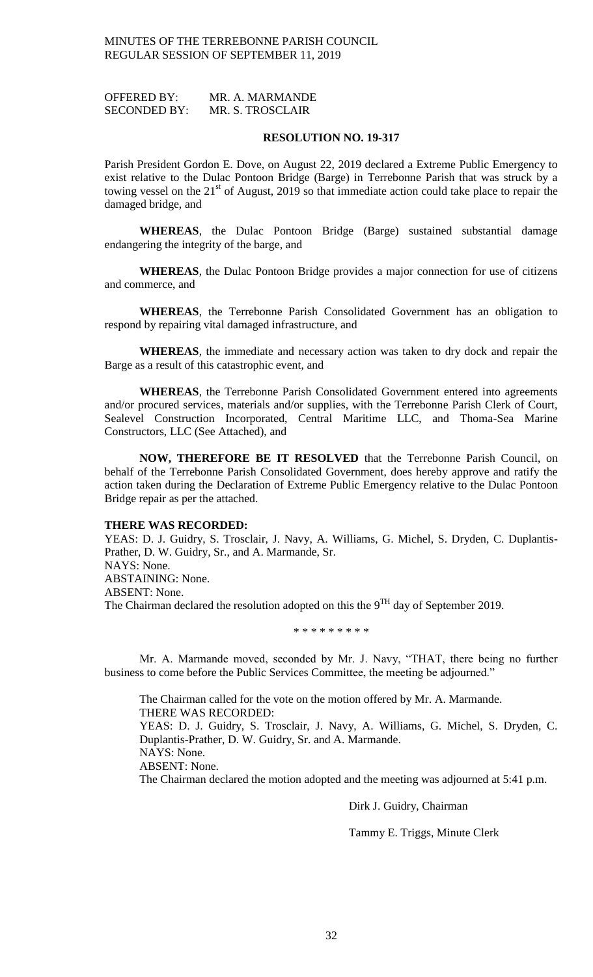OFFERED BY: MR. A. MARMANDE SECONDED BY: MR. S. TROSCLAIR

#### **RESOLUTION NO. 19-317**

Parish President Gordon E. Dove, on August 22, 2019 declared a Extreme Public Emergency to exist relative to the Dulac Pontoon Bridge (Barge) in Terrebonne Parish that was struck by a towing vessel on the  $21<sup>st</sup>$  of August, 2019 so that immediate action could take place to repair the damaged bridge, and

**WHEREAS**, the Dulac Pontoon Bridge (Barge) sustained substantial damage endangering the integrity of the barge, and

**WHEREAS**, the Dulac Pontoon Bridge provides a major connection for use of citizens and commerce, and

**WHEREAS**, the Terrebonne Parish Consolidated Government has an obligation to respond by repairing vital damaged infrastructure, and

**WHEREAS**, the immediate and necessary action was taken to dry dock and repair the Barge as a result of this catastrophic event, and

**WHEREAS**, the Terrebonne Parish Consolidated Government entered into agreements and/or procured services, materials and/or supplies, with the Terrebonne Parish Clerk of Court, Sealevel Construction Incorporated, Central Maritime LLC, and Thoma-Sea Marine Constructors, LLC (See Attached), and

**NOW, THEREFORE BE IT RESOLVED** that the Terrebonne Parish Council, on behalf of the Terrebonne Parish Consolidated Government, does hereby approve and ratify the action taken during the Declaration of Extreme Public Emergency relative to the Dulac Pontoon Bridge repair as per the attached.

### **THERE WAS RECORDED:**

YEAS: D. J. Guidry, S. Trosclair, J. Navy, A. Williams, G. Michel, S. Dryden, C. Duplantis-Prather, D. W. Guidry, Sr., and A. Marmande, Sr. NAYS: None. ABSTAINING: None. ABSENT: None. The Chairman declared the resolution adopted on this the  $9^{TH}$  day of September 2019.

\* \* \* \* \* \* \* \* \*

Mr. A. Marmande moved, seconded by Mr. J. Navy, "THAT, there being no further business to come before the Public Services Committee, the meeting be adjourned."

The Chairman called for the vote on the motion offered by Mr. A. Marmande. THERE WAS RECORDED: YEAS: D. J. Guidry, S. Trosclair, J. Navy, A. Williams, G. Michel, S. Dryden, C. Duplantis-Prather, D. W. Guidry, Sr. and A. Marmande. NAYS: None. ABSENT: None. The Chairman declared the motion adopted and the meeting was adjourned at 5:41 p.m.

Dirk J. Guidry, Chairman

Tammy E. Triggs, Minute Clerk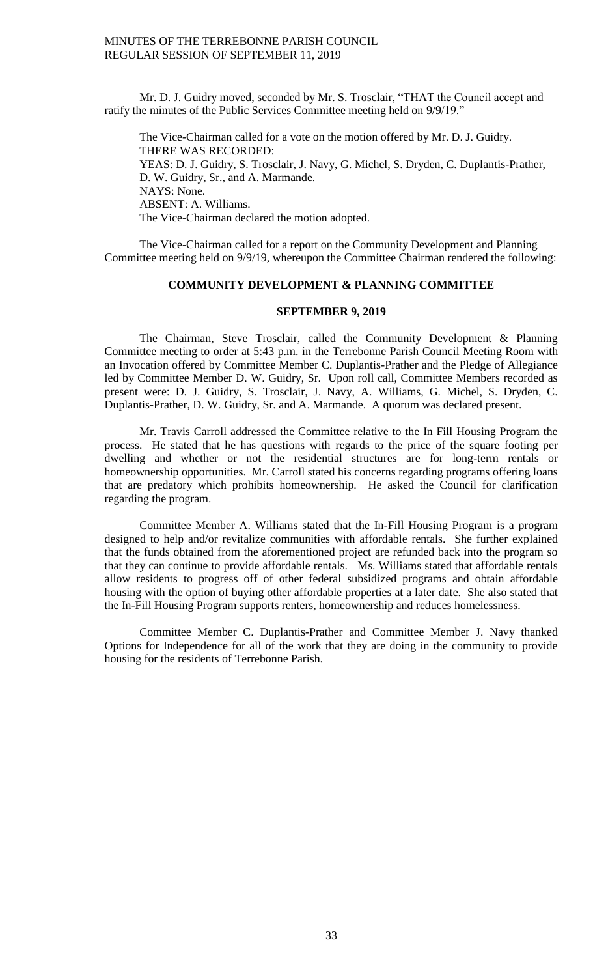Mr. D. J. Guidry moved, seconded by Mr. S. Trosclair, "THAT the Council accept and ratify the minutes of the Public Services Committee meeting held on 9/9/19."

The Vice-Chairman called for a vote on the motion offered by Mr. D. J. Guidry. THERE WAS RECORDED: YEAS: D. J. Guidry, S. Trosclair, J. Navy, G. Michel, S. Dryden, C. Duplantis-Prather, D. W. Guidry, Sr., and A. Marmande. NAYS: None. ABSENT: A. Williams. The Vice-Chairman declared the motion adopted.

The Vice-Chairman called for a report on the Community Development and Planning Committee meeting held on 9/9/19, whereupon the Committee Chairman rendered the following:

# **COMMUNITY DEVELOPMENT & PLANNING COMMITTEE**

### **SEPTEMBER 9, 2019**

The Chairman, Steve Trosclair, called the Community Development & Planning Committee meeting to order at 5:43 p.m. in the Terrebonne Parish Council Meeting Room with an Invocation offered by Committee Member C. Duplantis-Prather and the Pledge of Allegiance led by Committee Member D. W. Guidry, Sr. Upon roll call, Committee Members recorded as present were: D. J. Guidry, S. Trosclair, J. Navy, A. Williams, G. Michel, S. Dryden, C. Duplantis-Prather, D. W. Guidry, Sr. and A. Marmande. A quorum was declared present.

Mr. Travis Carroll addressed the Committee relative to the In Fill Housing Program the process. He stated that he has questions with regards to the price of the square footing per dwelling and whether or not the residential structures are for long-term rentals or homeownership opportunities. Mr. Carroll stated his concerns regarding programs offering loans that are predatory which prohibits homeownership. He asked the Council for clarification regarding the program.

Committee Member A. Williams stated that the In-Fill Housing Program is a program designed to help and/or revitalize communities with affordable rentals. She further explained that the funds obtained from the aforementioned project are refunded back into the program so that they can continue to provide affordable rentals. Ms. Williams stated that affordable rentals allow residents to progress off of other federal subsidized programs and obtain affordable housing with the option of buying other affordable properties at a later date. She also stated that the In-Fill Housing Program supports renters, homeownership and reduces homelessness.

Committee Member C. Duplantis-Prather and Committee Member J. Navy thanked Options for Independence for all of the work that they are doing in the community to provide housing for the residents of Terrebonne Parish.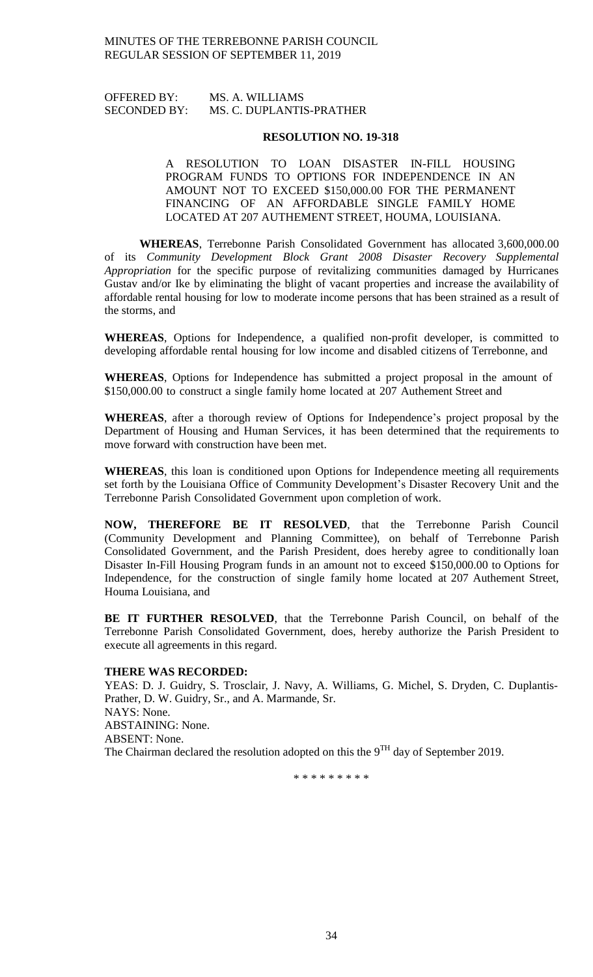# OFFERED BY: MS. A. WILLIAMS SECONDED BY: MS. C. DUPLANTIS-PRATHER

### **RESOLUTION NO. 19-318**

# A RESOLUTION TO LOAN DISASTER IN-FILL HOUSING PROGRAM FUNDS TO OPTIONS FOR INDEPENDENCE IN AN AMOUNT NOT TO EXCEED \$150,000.00 FOR THE PERMANENT FINANCING OF AN AFFORDABLE SINGLE FAMILY HOME LOCATED AT 207 AUTHEMENT STREET, HOUMA, LOUISIANA.

**WHEREAS**, Terrebonne Parish Consolidated Government has allocated 3,600,000.00 of its *Community Development Block Grant 2008 Disaster Recovery Supplemental Appropriation* for the specific purpose of revitalizing communities damaged by Hurricanes Gustav and/or Ike by eliminating the blight of vacant properties and increase the availability of affordable rental housing for low to moderate income persons that has been strained as a result of the storms, and

**WHEREAS**, Options for Independence, a qualified non-profit developer, is committed to developing affordable rental housing for low income and disabled citizens of Terrebonne, and

**WHEREAS**, Options for Independence has submitted a project proposal in the amount of \$150,000.00 to construct a single family home located at 207 Authement Street and

**WHEREAS**, after a thorough review of Options for Independence's project proposal by the Department of Housing and Human Services, it has been determined that the requirements to move forward with construction have been met.

**WHEREAS**, this loan is conditioned upon Options for Independence meeting all requirements set forth by the Louisiana Office of Community Development's Disaster Recovery Unit and the Terrebonne Parish Consolidated Government upon completion of work.

**NOW, THEREFORE BE IT RESOLVED**, that the Terrebonne Parish Council (Community Development and Planning Committee), on behalf of Terrebonne Parish Consolidated Government, and the Parish President, does hereby agree to conditionally loan Disaster In-Fill Housing Program funds in an amount not to exceed \$150,000.00 to Options for Independence, for the construction of single family home located at 207 Authement Street, Houma Louisiana, and

**BE IT FURTHER RESOLVED**, that the Terrebonne Parish Council, on behalf of the Terrebonne Parish Consolidated Government, does, hereby authorize the Parish President to execute all agreements in this regard.

### **THERE WAS RECORDED:**

YEAS: D. J. Guidry, S. Trosclair, J. Navy, A. Williams, G. Michel, S. Dryden, C. Duplantis-Prather, D. W. Guidry, Sr., and A. Marmande, Sr. NAYS: None. ABSTAINING: None. ABSENT: None. The Chairman declared the resolution adopted on this the  $9<sup>TH</sup>$  day of September 2019.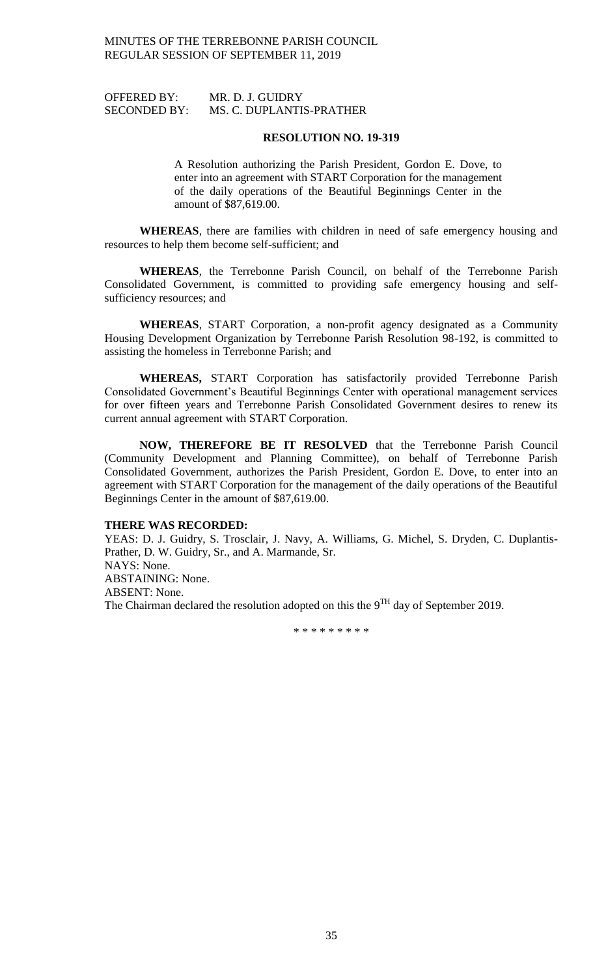| <b>OFFERED BY:</b>  | MR. D. J. GUIDRY         |
|---------------------|--------------------------|
| <b>SECONDED BY:</b> | MS. C. DUPLANTIS-PRATHER |

### **RESOLUTION NO. 19-319**

A Resolution authorizing the Parish President, Gordon E. Dove, to enter into an agreement with START Corporation for the management of the daily operations of the Beautiful Beginnings Center in the amount of \$87,619.00.

**WHEREAS**, there are families with children in need of safe emergency housing and resources to help them become self-sufficient; and

**WHEREAS**, the Terrebonne Parish Council, on behalf of the Terrebonne Parish Consolidated Government, is committed to providing safe emergency housing and selfsufficiency resources; and

**WHEREAS**, START Corporation, a non-profit agency designated as a Community Housing Development Organization by Terrebonne Parish Resolution 98-192, is committed to assisting the homeless in Terrebonne Parish; and

**WHEREAS,** START Corporation has satisfactorily provided Terrebonne Parish Consolidated Government's Beautiful Beginnings Center with operational management services for over fifteen years and Terrebonne Parish Consolidated Government desires to renew its current annual agreement with START Corporation.

**NOW, THEREFORE BE IT RESOLVED** that the Terrebonne Parish Council (Community Development and Planning Committee), on behalf of Terrebonne Parish Consolidated Government, authorizes the Parish President, Gordon E. Dove, to enter into an agreement with START Corporation for the management of the daily operations of the Beautiful Beginnings Center in the amount of \$87,619.00.

#### **THERE WAS RECORDED:**

YEAS: D. J. Guidry, S. Trosclair, J. Navy, A. Williams, G. Michel, S. Dryden, C. Duplantis-Prather, D. W. Guidry, Sr., and A. Marmande, Sr. NAYS: None. ABSTAINING: None. ABSENT: None. The Chairman declared the resolution adopted on this the  $9^{TH}$  day of September 2019.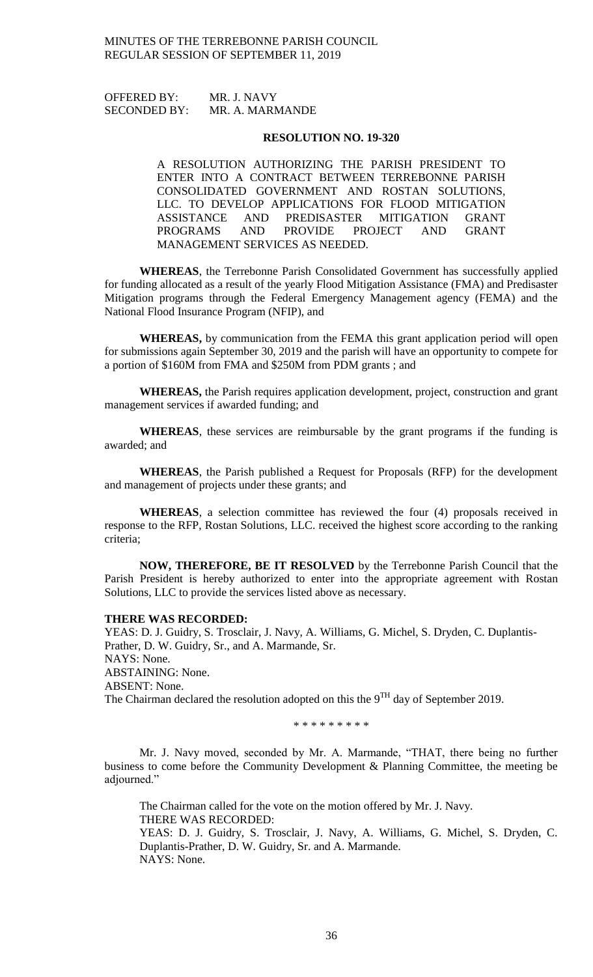OFFERED BY: MR. J. NAVY SECONDED BY: MR. A. MARMANDE

#### **RESOLUTION NO. 19-320**

A RESOLUTION AUTHORIZING THE PARISH PRESIDENT TO ENTER INTO A CONTRACT BETWEEN TERREBONNE PARISH CONSOLIDATED GOVERNMENT AND ROSTAN SOLUTIONS, LLC. TO DEVELOP APPLICATIONS FOR FLOOD MITIGATION ASSISTANCE AND PREDISASTER MITIGATION GRANT PROGRAMS AND PROVIDE PROJECT AND GRANT MANAGEMENT SERVICES AS NEEDED.

**WHEREAS**, the Terrebonne Parish Consolidated Government has successfully applied for funding allocated as a result of the yearly Flood Mitigation Assistance (FMA) and Predisaster Mitigation programs through the Federal Emergency Management agency (FEMA) and the National Flood Insurance Program (NFIP), and

**WHEREAS,** by communication from the FEMA this grant application period will open for submissions again September 30, 2019 and the parish will have an opportunity to compete for a portion of \$160M from FMA and \$250M from PDM grants ; and

**WHEREAS,** the Parish requires application development, project, construction and grant management services if awarded funding; and

**WHEREAS**, these services are reimbursable by the grant programs if the funding is awarded; and

**WHEREAS**, the Parish published a Request for Proposals (RFP) for the development and management of projects under these grants; and

**WHEREAS**, a selection committee has reviewed the four (4) proposals received in response to the RFP, Rostan Solutions, LLC. received the highest score according to the ranking criteria;

**NOW, THEREFORE, BE IT RESOLVED** by the Terrebonne Parish Council that the Parish President is hereby authorized to enter into the appropriate agreement with Rostan Solutions, LLC to provide the services listed above as necessary.

#### **THERE WAS RECORDED:**

YEAS: D. J. Guidry, S. Trosclair, J. Navy, A. Williams, G. Michel, S. Dryden, C. Duplantis-Prather, D. W. Guidry, Sr., and A. Marmande, Sr. NAYS: None. ABSTAINING: None. ABSENT: None. The Chairman declared the resolution adopted on this the  $9<sup>TH</sup>$  day of September 2019.

\* \* \* \* \* \* \* \* \*

Mr. J. Navy moved, seconded by Mr. A. Marmande, "THAT, there being no further business to come before the Community Development & Planning Committee, the meeting be adjourned."

The Chairman called for the vote on the motion offered by Mr. J. Navy. THERE WAS RECORDED: YEAS: D. J. Guidry, S. Trosclair, J. Navy, A. Williams, G. Michel, S. Dryden, C. Duplantis-Prather, D. W. Guidry, Sr. and A. Marmande. NAYS: None.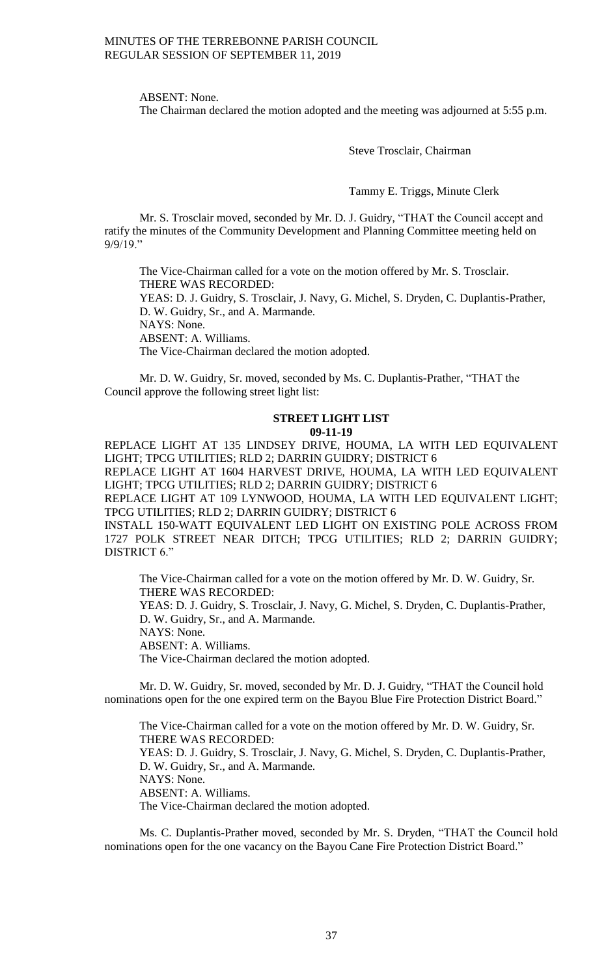ABSENT: None.

The Chairman declared the motion adopted and the meeting was adjourned at 5:55 p.m.

Steve Trosclair, Chairman

Tammy E. Triggs, Minute Clerk

Mr. S. Trosclair moved, seconded by Mr. D. J. Guidry, "THAT the Council accept and ratify the minutes of the Community Development and Planning Committee meeting held on 9/9/19."

The Vice-Chairman called for a vote on the motion offered by Mr. S. Trosclair. THERE WAS RECORDED:

YEAS: D. J. Guidry, S. Trosclair, J. Navy, G. Michel, S. Dryden, C. Duplantis-Prather, D. W. Guidry, Sr., and A. Marmande.

NAYS: None.

ABSENT: A. Williams.

The Vice-Chairman declared the motion adopted.

Mr. D. W. Guidry, Sr. moved, seconded by Ms. C. Duplantis-Prather, "THAT the Council approve the following street light list:

# **STREET LIGHT LIST 09-11-19**

REPLACE LIGHT AT 135 LINDSEY DRIVE, HOUMA, LA WITH LED EQUIVALENT LIGHT; TPCG UTILITIES; RLD 2; DARRIN GUIDRY; DISTRICT 6 REPLACE LIGHT AT 1604 HARVEST DRIVE, HOUMA, LA WITH LED EQUIVALENT

LIGHT; TPCG UTILITIES; RLD 2; DARRIN GUIDRY; DISTRICT 6 REPLACE LIGHT AT 109 LYNWOOD, HOUMA, LA WITH LED EQUIVALENT LIGHT; TPCG UTILITIES; RLD 2; DARRIN GUIDRY; DISTRICT 6

INSTALL 150-WATT EQUIVALENT LED LIGHT ON EXISTING POLE ACROSS FROM 1727 POLK STREET NEAR DITCH; TPCG UTILITIES; RLD 2; DARRIN GUIDRY; DISTRICT 6."

The Vice-Chairman called for a vote on the motion offered by Mr. D. W. Guidry, Sr. THERE WAS RECORDED:

YEAS: D. J. Guidry, S. Trosclair, J. Navy, G. Michel, S. Dryden, C. Duplantis-Prather, D. W. Guidry, Sr., and A. Marmande.

NAYS: None.

ABSENT: A. Williams.

The Vice-Chairman declared the motion adopted.

Mr. D. W. Guidry, Sr. moved, seconded by Mr. D. J. Guidry, "THAT the Council hold nominations open for the one expired term on the Bayou Blue Fire Protection District Board."

The Vice-Chairman called for a vote on the motion offered by Mr. D. W. Guidry, Sr. THERE WAS RECORDED: YEAS: D. J. Guidry, S. Trosclair, J. Navy, G. Michel, S. Dryden, C. Duplantis-Prather, D. W. Guidry, Sr., and A. Marmande. NAYS: None. ABSENT: A. Williams. The Vice-Chairman declared the motion adopted.

Ms. C. Duplantis-Prather moved, seconded by Mr. S. Dryden, "THAT the Council hold nominations open for the one vacancy on the Bayou Cane Fire Protection District Board."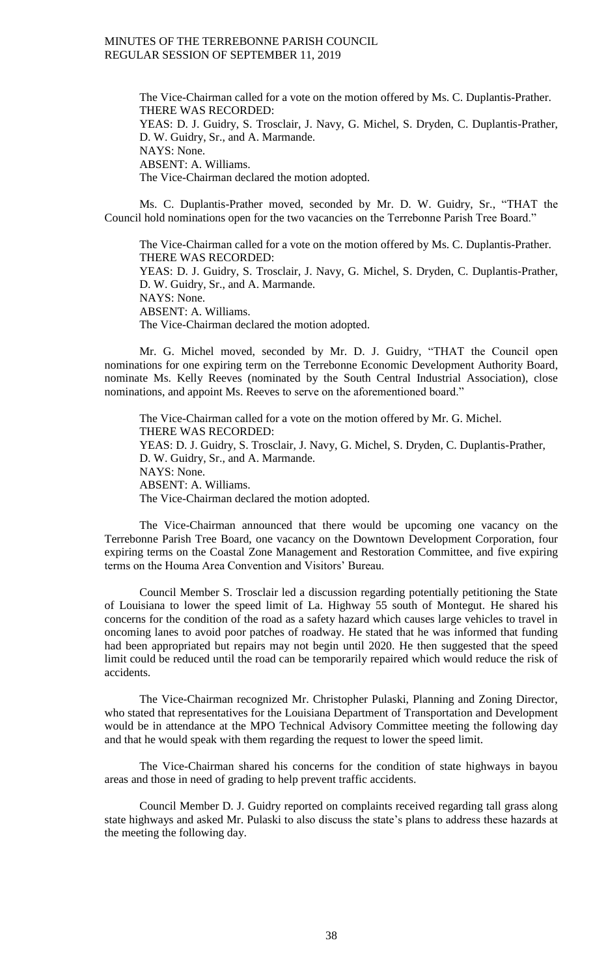The Vice-Chairman called for a vote on the motion offered by Ms. C. Duplantis-Prather. THERE WAS RECORDED: YEAS: D. J. Guidry, S. Trosclair, J. Navy, G. Michel, S. Dryden, C. Duplantis-Prather, D. W. Guidry, Sr., and A. Marmande. NAYS: None. ABSENT: A. Williams. The Vice-Chairman declared the motion adopted.

Ms. C. Duplantis-Prather moved, seconded by Mr. D. W. Guidry, Sr., "THAT the Council hold nominations open for the two vacancies on the Terrebonne Parish Tree Board."

The Vice-Chairman called for a vote on the motion offered by Ms. C. Duplantis-Prather. THERE WAS RECORDED: YEAS: D. J. Guidry, S. Trosclair, J. Navy, G. Michel, S. Dryden, C. Duplantis-Prather, D. W. Guidry, Sr., and A. Marmande. NAYS: None. ABSENT: A. Williams. The Vice-Chairman declared the motion adopted.

Mr. G. Michel moved, seconded by Mr. D. J. Guidry, "THAT the Council open nominations for one expiring term on the Terrebonne Economic Development Authority Board, nominate Ms. Kelly Reeves (nominated by the South Central Industrial Association), close nominations, and appoint Ms. Reeves to serve on the aforementioned board."

The Vice-Chairman called for a vote on the motion offered by Mr. G. Michel. THERE WAS RECORDED: YEAS: D. J. Guidry, S. Trosclair, J. Navy, G. Michel, S. Dryden, C. Duplantis-Prather, D. W. Guidry, Sr., and A. Marmande. NAYS: None. ABSENT: A. Williams. The Vice-Chairman declared the motion adopted.

The Vice-Chairman announced that there would be upcoming one vacancy on the Terrebonne Parish Tree Board, one vacancy on the Downtown Development Corporation, four expiring terms on the Coastal Zone Management and Restoration Committee, and five expiring terms on the Houma Area Convention and Visitors' Bureau.

Council Member S. Trosclair led a discussion regarding potentially petitioning the State of Louisiana to lower the speed limit of La. Highway 55 south of Montegut. He shared his concerns for the condition of the road as a safety hazard which causes large vehicles to travel in oncoming lanes to avoid poor patches of roadway. He stated that he was informed that funding had been appropriated but repairs may not begin until 2020. He then suggested that the speed limit could be reduced until the road can be temporarily repaired which would reduce the risk of accidents.

The Vice-Chairman recognized Mr. Christopher Pulaski, Planning and Zoning Director, who stated that representatives for the Louisiana Department of Transportation and Development would be in attendance at the MPO Technical Advisory Committee meeting the following day and that he would speak with them regarding the request to lower the speed limit.

The Vice-Chairman shared his concerns for the condition of state highways in bayou areas and those in need of grading to help prevent traffic accidents.

Council Member D. J. Guidry reported on complaints received regarding tall grass along state highways and asked Mr. Pulaski to also discuss the state's plans to address these hazards at the meeting the following day.